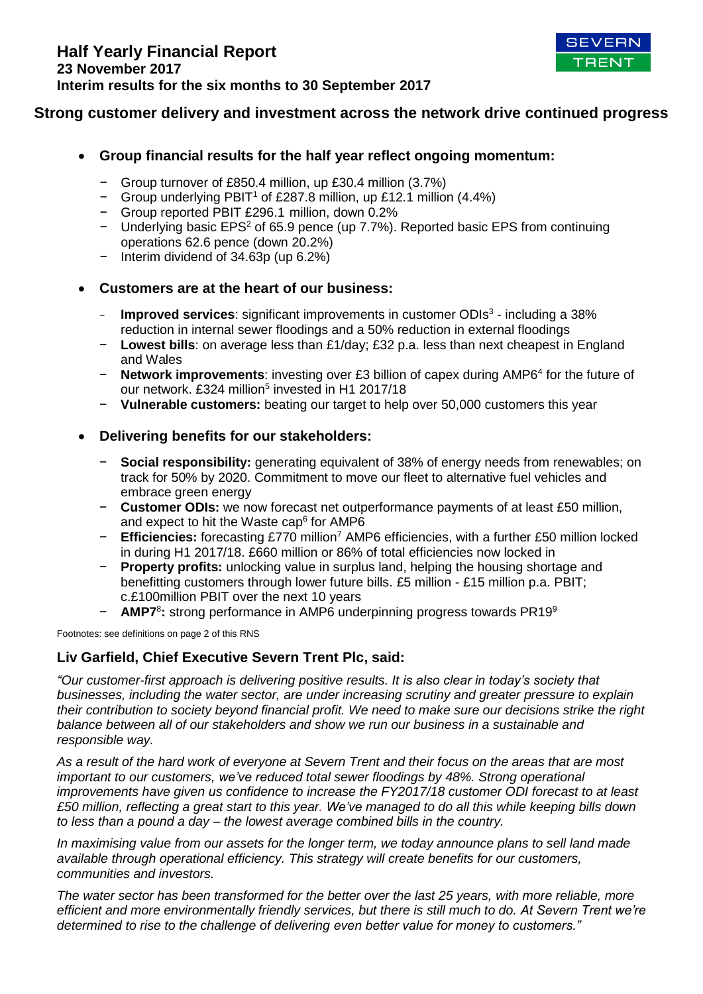# **Strong customer delivery and investment across the network drive continued progress**

## **Group financial results for the half year reflect ongoing momentum:**

- − Group turnover of £850.4 million, up £30.4 million (3.7%)
- − Group underlying PBIT<sup>1</sup> of £287.8 million, up £12.1 million (4.4%)
- − Group reported PBIT £296.1 million, down 0.2%
- − Underlying basic EPS<sup>2</sup> of 65.9 pence (up 7.7%). Reported basic EPS from continuing operations 62.6 pence (down 20.2%)
- − Interim dividend of 34.63p (up 6.2%)

### **Customers are at the heart of our business:**

- <sup>−</sup> **Improved services**: significant improvements in customer ODIs<sup>3</sup> including a 38% reduction in internal sewer floodings and a 50% reduction in external floodings
- − **Lowest bills**: on average less than £1/day; £32 p.a. less than next cheapest in England and Wales
- − **Network improvements**: investing over £3 billion of capex during AMP6<sup>4</sup> for the future of our network. £324 million<sup>5</sup> invested in H1 2017/18
- − **Vulnerable customers:** beating our target to help over 50,000 customers this year

### **Delivering benefits for our stakeholders:**

- − **Social responsibility:** generating equivalent of 38% of energy needs from renewables; on track for 50% by 2020. Commitment to move our fleet to alternative fuel vehicles and embrace green energy
- − **Customer ODIs:** we now forecast net outperformance payments of at least £50 million, and expect to hit the Waste cap<sup>6</sup> for AMP6
- − **Efficiencies:** forecasting £770 million<sup>7</sup> AMP6 efficiencies, with a further £50 million locked in during H1 2017/18. £660 million or 86% of total efficiencies now locked in
- **Property profits:** unlocking value in surplus land, helping the housing shortage and benefitting customers through lower future bills. £5 million - £15 million p.a. PBIT; c.£100million PBIT over the next 10 years
- − **AMP7**<sup>8</sup> **:** strong performance in AMP6 underpinning progress towards PR19<sup>9</sup>

Footnotes: see definitions on page 2 of this RNS

### **Liv Garfield, Chief Executive Severn Trent Plc, said:**

*"Our customer-first approach is delivering positive results. It is also clear in today's society that businesses, including the water sector, are under increasing scrutiny and greater pressure to explain their contribution to society beyond financial profit. We need to make sure our decisions strike the right balance between all of our stakeholders and show we run our business in a sustainable and responsible way.*

*As a result of the hard work of everyone at Severn Trent and their focus on the areas that are most important to our customers, we've reduced total sewer floodings by 48%. Strong operational improvements have given us confidence to increase the FY2017/18 customer ODI forecast to at least £50 million, reflecting a great start to this year. We've managed to do all this while keeping bills down to less than a pound a day – the lowest average combined bills in the country.*

*In maximising value from our assets for the longer term, we today announce plans to sell land made available through operational efficiency. This strategy will create benefits for our customers, communities and investors.*

*The water sector has been transformed for the better over the last 25 years, with more reliable, more efficient and more environmentally friendly services, but there is still much to do. At Severn Trent we're determined to rise to the challenge of delivering even better value for money to customers."*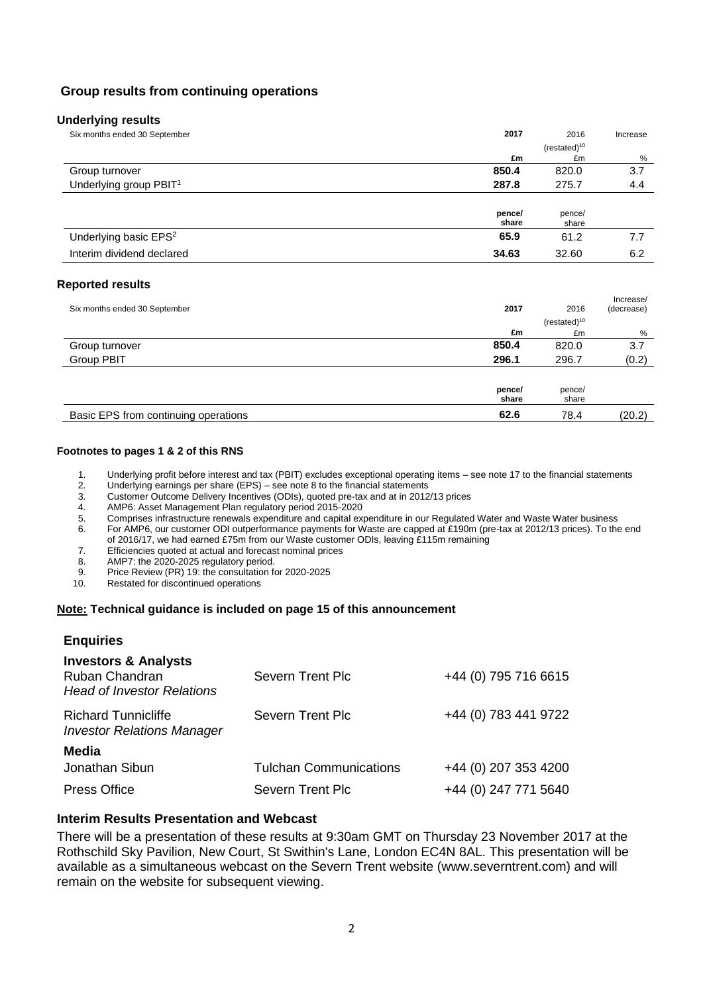## **Group results from continuing operations**

| <b>Underlying results</b>          |                 |                  |          |
|------------------------------------|-----------------|------------------|----------|
| Six months ended 30 September      | 2017            | 2016             | Increase |
|                                    |                 | $(resated)^{10}$ |          |
|                                    | £m              | £m               | %        |
| Group turnover                     | 850.4           | 820.0            | 3.7      |
| Underlying group PBIT <sup>1</sup> | 287.8           | 275.7            | 4.4      |
|                                    | pence/<br>share | pence/<br>share  |          |
| Underlying basic EPS <sup>2</sup>  | 65.9            | 61.2             | 7.7      |
| Interim dividend declared          | 34.63           | 32.60            | 6.2      |

#### **Reported results**

**Enquiries**

| Six months ended 30 September        | 2017            | 2016            | Increase/<br>(decrease) |
|--------------------------------------|-----------------|-----------------|-------------------------|
|                                      |                 | $(rested)^{10}$ |                         |
|                                      | £m              | £m              | %                       |
| Group turnover                       | 850.4           | 820.0           | 3.7                     |
| Group PBIT                           | 296.1           | 296.7           | (0.2)                   |
|                                      |                 |                 |                         |
|                                      | pence/<br>share | pence/<br>share |                         |
| Basic EPS from continuing operations | 62.6            | 78.4            | (20.2)                  |

#### **Footnotes to pages 1 & 2 of this RNS**

- 1. Underlying profit before interest and tax (PBIT) excludes exceptional operating items see note 17 to the financial statements<br>2. Underlying earnings per share (FPS) see note 8 to the financial statements
- 2. Underlying earnings per share (EPS) see note 8 to the financial statements<br>3. Customer Outcome Delivery Incentives (ODIs), quoted pre-tax and at in 2012
- 3. Customer Outcome Delivery Incentives (ODIs), quoted pre-tax and at in 2012/13 prices
- 4. AMP6: Asset Management Plan regulatory period 2015-2020
- 5. Comprises infrastructure renewals expenditure and capital expenditure in our Regulated Water and Waste Water business
- 6. For AMP6, our customer ODI outperformance payments for Waste are capped at £190m (pre-tax at 2012/13 prices). To the end
- of 2016/17, we had earned £75m from our Waste customer ODIs, leaving £115m remaining
- 7. Efficiencies quoted at actual and forecast nominal prices<br>8. AMP7: the 2020-2025 requilatory period.
- 8. AMP7: the 2020-2025 regulatory period.
- 9. Price Review (PR) 19: the consultation for 2020-2025<br>10. Restated for discontinued operations
- Restated for discontinued operations

#### **Note: Technical guidance is included on page 15 of this announcement**

| <b>Investors &amp; Analysts</b><br>Ruban Chandran<br><b>Head of Investor Relations</b> | <b>Severn Trent Plc</b>       | +44 (0) 795 716 6615 |
|----------------------------------------------------------------------------------------|-------------------------------|----------------------|
| <b>Richard Tunnicliffe</b><br><b>Investor Relations Manager</b>                        | Severn Trent Plc              | +44 (0) 783 441 9722 |
| Media                                                                                  |                               |                      |
| Jonathan Sibun                                                                         | <b>Tulchan Communications</b> | +44 (0) 207 353 4200 |
| <b>Press Office</b>                                                                    | <b>Severn Trent Plc</b>       | +44 (0) 247 771 5640 |

### **Interim Results Presentation and Webcast**

There will be a presentation of these results at 9:30am GMT on Thursday 23 November 2017 at the Rothschild Sky Pavilion, New Court, St Swithin's Lane, London EC4N 8AL. This presentation will be available as a simultaneous webcast on the Severn Trent website (www.severntrent.com) and will remain on the website for subsequent viewing.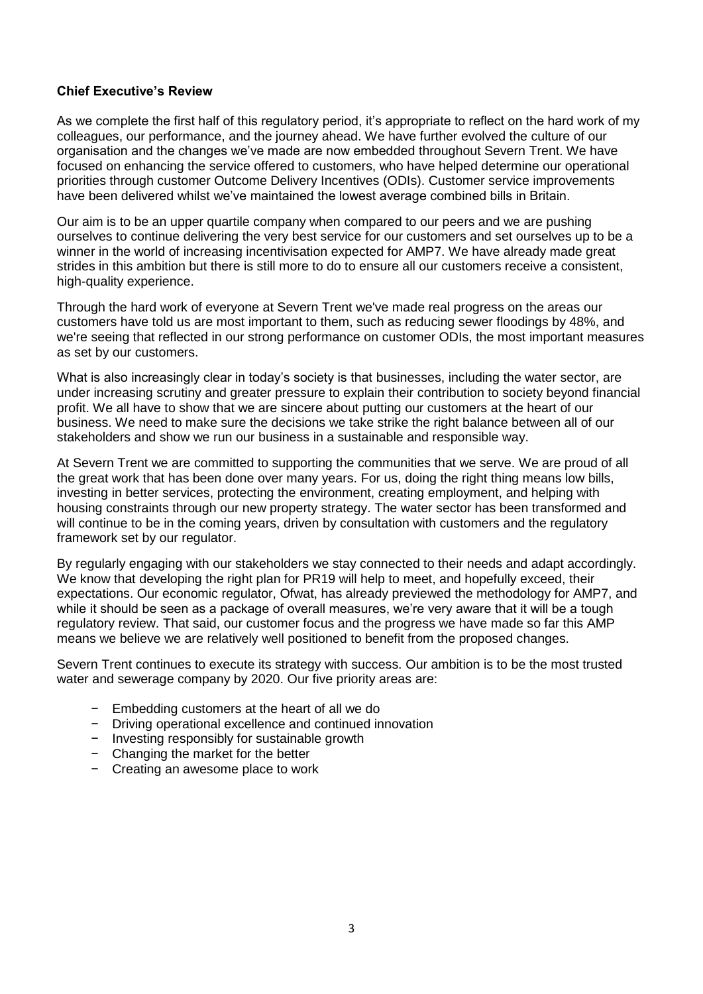### **Chief Executive's Review**

As we complete the first half of this regulatory period, it's appropriate to reflect on the hard work of my colleagues, our performance, and the journey ahead. We have further evolved the culture of our organisation and the changes we've made are now embedded throughout Severn Trent. We have focused on enhancing the service offered to customers, who have helped determine our operational priorities through customer Outcome Delivery Incentives (ODIs). Customer service improvements have been delivered whilst we've maintained the lowest average combined bills in Britain.

Our aim is to be an upper quartile company when compared to our peers and we are pushing ourselves to continue delivering the very best service for our customers and set ourselves up to be a winner in the world of increasing incentivisation expected for AMP7. We have already made great strides in this ambition but there is still more to do to ensure all our customers receive a consistent, high-quality experience.

Through the hard work of everyone at Severn Trent we've made real progress on the areas our customers have told us are most important to them, such as reducing sewer floodings by 48%, and we're seeing that reflected in our strong performance on customer ODIs, the most important measures as set by our customers.

What is also increasingly clear in today's society is that businesses, including the water sector, are under increasing scrutiny and greater pressure to explain their contribution to society beyond financial profit. We all have to show that we are sincere about putting our customers at the heart of our business. We need to make sure the decisions we take strike the right balance between all of our stakeholders and show we run our business in a sustainable and responsible way.

At Severn Trent we are committed to supporting the communities that we serve. We are proud of all the great work that has been done over many years. For us, doing the right thing means low bills, investing in better services, protecting the environment, creating employment, and helping with housing constraints through our new property strategy. The water sector has been transformed and will continue to be in the coming years, driven by consultation with customers and the regulatory framework set by our regulator.

By regularly engaging with our stakeholders we stay connected to their needs and adapt accordingly. We know that developing the right plan for PR19 will help to meet, and hopefully exceed, their expectations. Our economic regulator, Ofwat, has already previewed the methodology for AMP7, and while it should be seen as a package of overall measures, we're very aware that it will be a tough regulatory review. That said, our customer focus and the progress we have made so far this AMP means we believe we are relatively well positioned to benefit from the proposed changes.

Severn Trent continues to execute its strategy with success. Our ambition is to be the most trusted water and sewerage company by 2020. Our five priority areas are:

- Embedding customers at the heart of all we do
- − Driving operational excellence and continued innovation
- − Investing responsibly for sustainable growth
- − Changing the market for the better
- − Creating an awesome place to work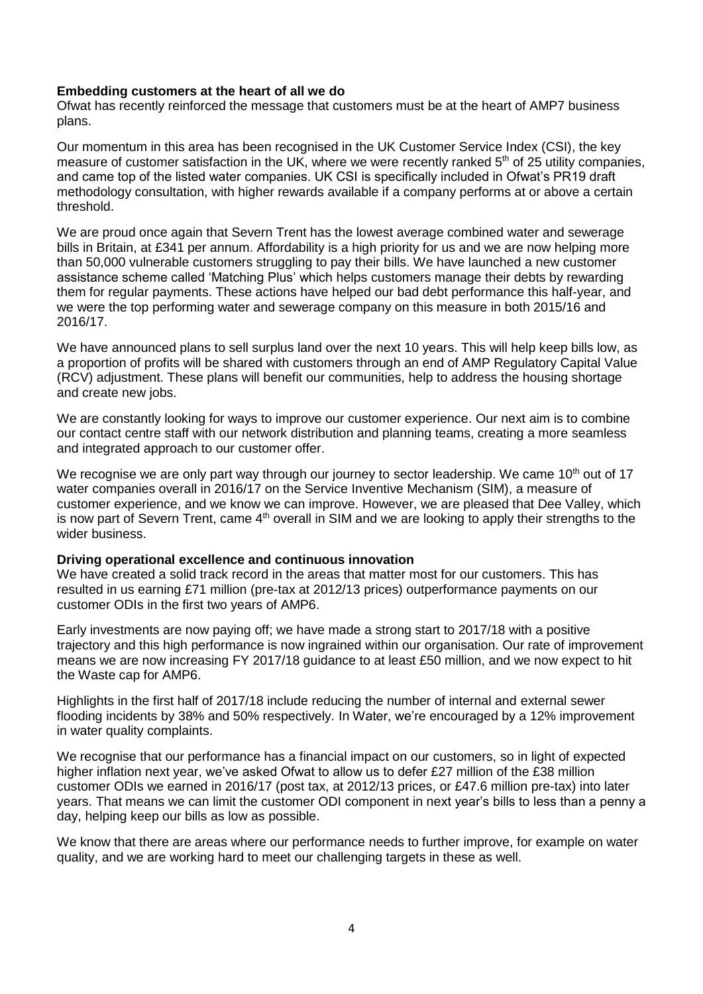### **Embedding customers at the heart of all we do**

Ofwat has recently reinforced the message that customers must be at the heart of AMP7 business plans.

Our momentum in this area has been recognised in the UK Customer Service Index (CSI), the key measure of customer satisfaction in the UK, where we were recently ranked 5<sup>th</sup> of 25 utility companies, and came top of the listed water companies. UK CSI is specifically included in Ofwat's PR19 draft methodology consultation, with higher rewards available if a company performs at or above a certain threshold.

We are proud once again that Severn Trent has the lowest average combined water and sewerage bills in Britain, at £341 per annum. Affordability is a high priority for us and we are now helping more than 50,000 vulnerable customers struggling to pay their bills. We have launched a new customer assistance scheme called 'Matching Plus' which helps customers manage their debts by rewarding them for regular payments. These actions have helped our bad debt performance this half-year, and we were the top performing water and sewerage company on this measure in both 2015/16 and 2016/17.

We have announced plans to sell surplus land over the next 10 years. This will help keep bills low, as a proportion of profits will be shared with customers through an end of AMP Regulatory Capital Value (RCV) adjustment. These plans will benefit our communities, help to address the housing shortage and create new jobs.

We are constantly looking for ways to improve our customer experience. Our next aim is to combine our contact centre staff with our network distribution and planning teams, creating a more seamless and integrated approach to our customer offer.

We recognise we are only part way through our journey to sector leadership. We came 10<sup>th</sup> out of 17 water companies overall in 2016/17 on the Service Inventive Mechanism (SIM), a measure of customer experience, and we know we can improve. However, we are pleased that Dee Valley, which is now part of Severn Trent, came 4<sup>th</sup> overall in SIM and we are looking to apply their strengths to the wider business.

### **Driving operational excellence and continuous innovation**

We have created a solid track record in the areas that matter most for our customers. This has resulted in us earning £71 million (pre-tax at 2012/13 prices) outperformance payments on our customer ODIs in the first two years of AMP6.

Early investments are now paying off; we have made a strong start to 2017/18 with a positive trajectory and this high performance is now ingrained within our organisation. Our rate of improvement means we are now increasing FY 2017/18 guidance to at least £50 million, and we now expect to hit the Waste cap for AMP6.

Highlights in the first half of 2017/18 include reducing the number of internal and external sewer flooding incidents by 38% and 50% respectively. In Water, we're encouraged by a 12% improvement in water quality complaints.

We recognise that our performance has a financial impact on our customers, so in light of expected higher inflation next year, we've asked Ofwat to allow us to defer £27 million of the £38 million customer ODIs we earned in 2016/17 (post tax, at 2012/13 prices, or £47.6 million pre-tax) into later years. That means we can limit the customer ODI component in next year's bills to less than a penny a day, helping keep our bills as low as possible.

We know that there are areas where our performance needs to further improve, for example on water quality, and we are working hard to meet our challenging targets in these as well.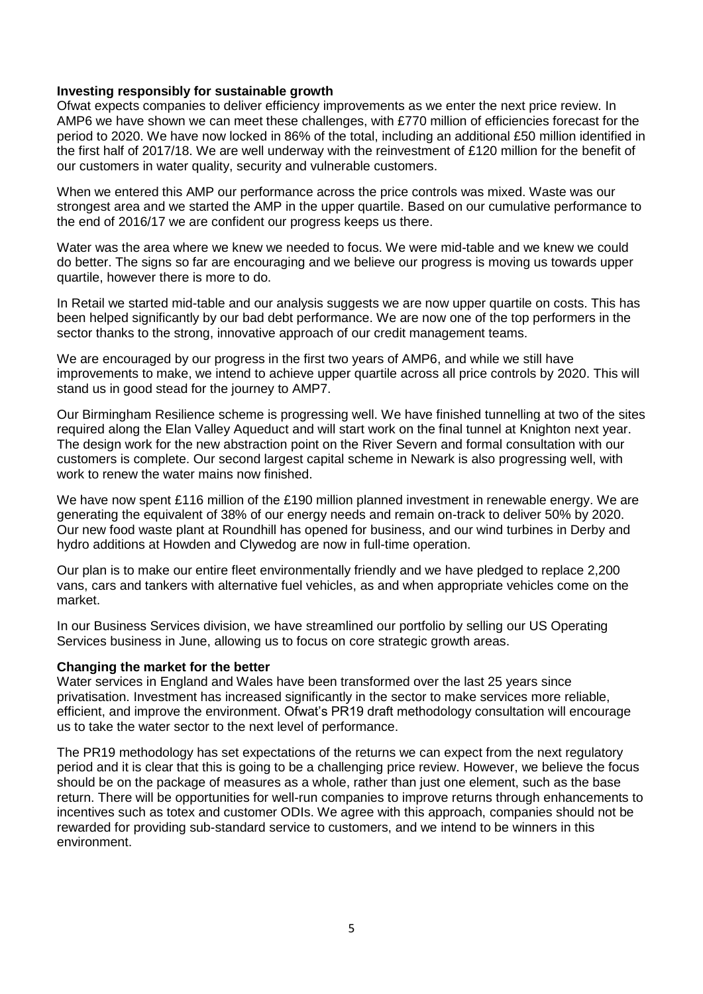### **Investing responsibly for sustainable growth**

Ofwat expects companies to deliver efficiency improvements as we enter the next price review. In AMP6 we have shown we can meet these challenges, with £770 million of efficiencies forecast for the period to 2020. We have now locked in 86% of the total, including an additional £50 million identified in the first half of 2017/18. We are well underway with the reinvestment of £120 million for the benefit of our customers in water quality, security and vulnerable customers.

When we entered this AMP our performance across the price controls was mixed. Waste was our strongest area and we started the AMP in the upper quartile. Based on our cumulative performance to the end of 2016/17 we are confident our progress keeps us there.

Water was the area where we knew we needed to focus. We were mid-table and we knew we could do better. The signs so far are encouraging and we believe our progress is moving us towards upper quartile, however there is more to do.

In Retail we started mid-table and our analysis suggests we are now upper quartile on costs. This has been helped significantly by our bad debt performance. We are now one of the top performers in the sector thanks to the strong, innovative approach of our credit management teams.

We are encouraged by our progress in the first two years of AMP6, and while we still have improvements to make, we intend to achieve upper quartile across all price controls by 2020. This will stand us in good stead for the journey to AMP7.

Our Birmingham Resilience scheme is progressing well. We have finished tunnelling at two of the sites required along the Elan Valley Aqueduct and will start work on the final tunnel at Knighton next year. The design work for the new abstraction point on the River Severn and formal consultation with our customers is complete. Our second largest capital scheme in Newark is also progressing well, with work to renew the water mains now finished.

We have now spent £116 million of the £190 million planned investment in renewable energy. We are generating the equivalent of 38% of our energy needs and remain on-track to deliver 50% by 2020. Our new food waste plant at Roundhill has opened for business, and our wind turbines in Derby and hydro additions at Howden and Clywedog are now in full-time operation.

Our plan is to make our entire fleet environmentally friendly and we have pledged to replace 2,200 vans, cars and tankers with alternative fuel vehicles, as and when appropriate vehicles come on the market.

In our Business Services division, we have streamlined our portfolio by selling our US Operating Services business in June, allowing us to focus on core strategic growth areas.

### **Changing the market for the better**

Water services in England and Wales have been transformed over the last 25 years since privatisation. Investment has increased significantly in the sector to make services more reliable, efficient, and improve the environment. Ofwat's PR19 draft methodology consultation will encourage us to take the water sector to the next level of performance.

The PR19 methodology has set expectations of the returns we can expect from the next regulatory period and it is clear that this is going to be a challenging price review. However, we believe the focus should be on the package of measures as a whole, rather than just one element, such as the base return. There will be opportunities for well-run companies to improve returns through enhancements to incentives such as totex and customer ODIs. We agree with this approach, companies should not be rewarded for providing sub-standard service to customers, and we intend to be winners in this environment.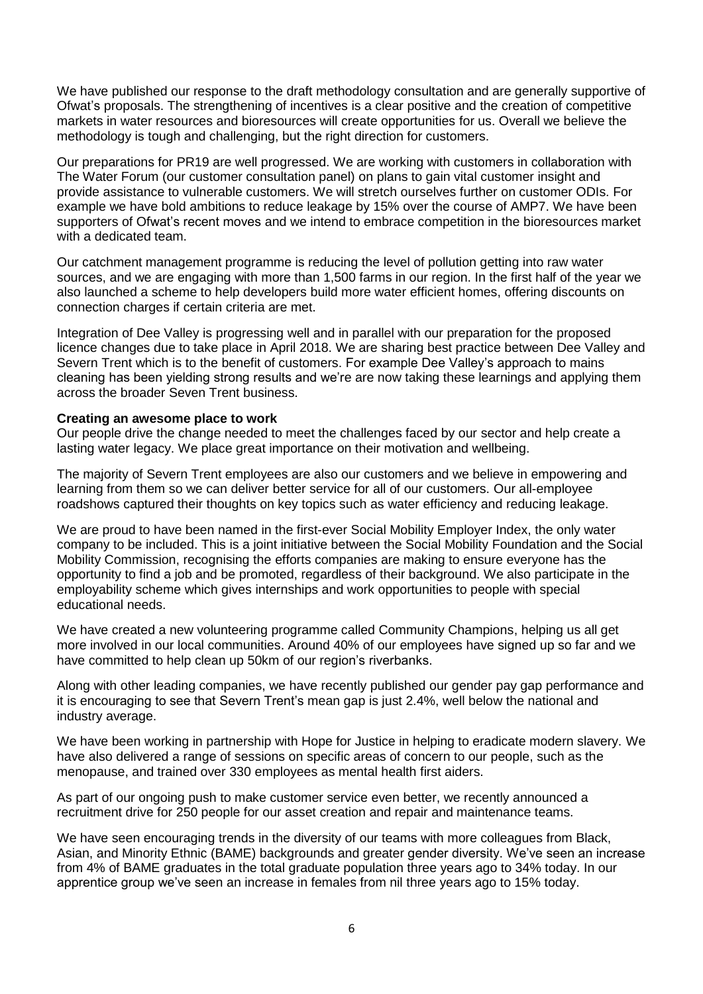We have published our response to the draft methodology consultation and are generally supportive of Ofwat's proposals. The strengthening of incentives is a clear positive and the creation of competitive markets in water resources and bioresources will create opportunities for us. Overall we believe the methodology is tough and challenging, but the right direction for customers.

Our preparations for PR19 are well progressed. We are working with customers in collaboration with The Water Forum (our customer consultation panel) on plans to gain vital customer insight and provide assistance to vulnerable customers. We will stretch ourselves further on customer ODIs. For example we have bold ambitions to reduce leakage by 15% over the course of AMP7. We have been supporters of Ofwat's recent moves and we intend to embrace competition in the bioresources market with a dedicated team.

Our catchment management programme is reducing the level of pollution getting into raw water sources, and we are engaging with more than 1,500 farms in our region. In the first half of the year we also launched a scheme to help developers build more water efficient homes, offering discounts on connection charges if certain criteria are met.

Integration of Dee Valley is progressing well and in parallel with our preparation for the proposed licence changes due to take place in April 2018. We are sharing best practice between Dee Valley and Severn Trent which is to the benefit of customers. For example Dee Valley's approach to mains cleaning has been yielding strong results and we're are now taking these learnings and applying them across the broader Seven Trent business.

### **Creating an awesome place to work**

Our people drive the change needed to meet the challenges faced by our sector and help create a lasting water legacy. We place great importance on their motivation and wellbeing.

The majority of Severn Trent employees are also our customers and we believe in empowering and learning from them so we can deliver better service for all of our customers. Our all-employee roadshows captured their thoughts on key topics such as water efficiency and reducing leakage.

We are proud to have been named in the first-ever Social Mobility Employer Index, the only water company to be included. This is a joint initiative between the Social Mobility Foundation and the Social Mobility Commission, recognising the efforts companies are making to ensure everyone has the opportunity to find a job and be promoted, regardless of their background. We also participate in the employability scheme which gives internships and work opportunities to people with special educational needs.

We have created a new volunteering programme called Community Champions, helping us all get more involved in our local communities. Around 40% of our employees have signed up so far and we have committed to help clean up 50km of our region's riverbanks.

Along with other leading companies, we have recently published our gender pay gap performance and it is encouraging to see that Severn Trent's mean gap is just 2.4%, well below the national and industry average.

We have been working in partnership with Hope for Justice in helping to eradicate modern slavery. We have also delivered a range of sessions on specific areas of concern to our people, such as the menopause, and trained over 330 employees as mental health first aiders.

As part of our ongoing push to make customer service even better, we recently announced a recruitment drive for 250 people for our asset creation and repair and maintenance teams.

We have seen encouraging trends in the diversity of our teams with more colleagues from Black, Asian, and Minority Ethnic (BAME) backgrounds and greater gender diversity. We've seen an increase from 4% of BAME graduates in the total graduate population three years ago to 34% today. In our apprentice group we've seen an increase in females from nil three years ago to 15% today.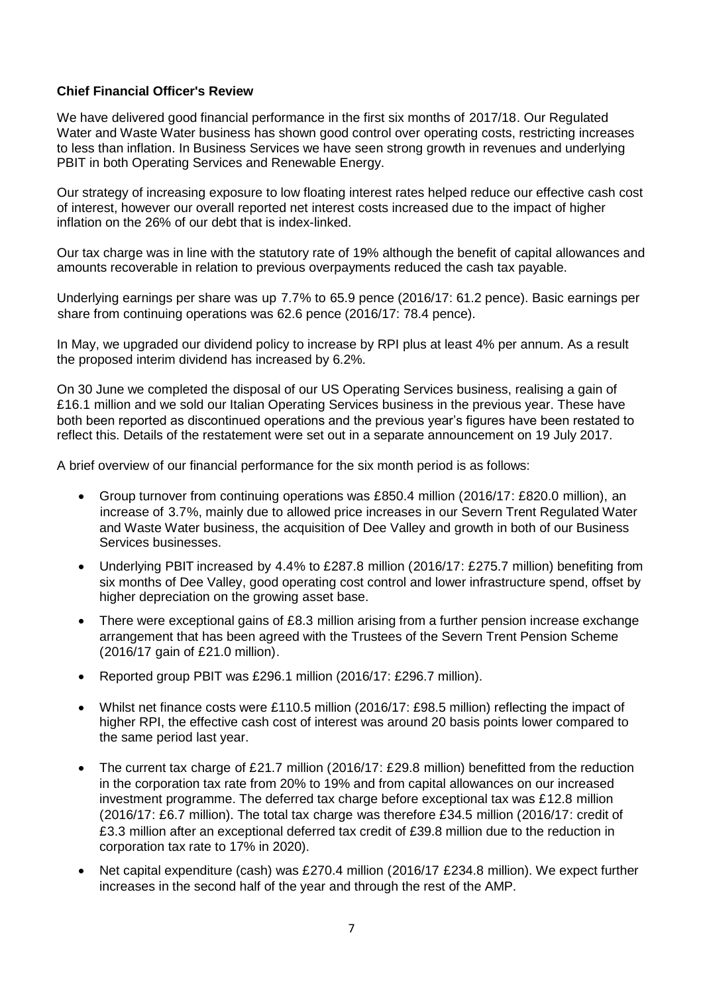## **Chief Financial Officer's Review**

We have delivered good financial performance in the first six months of 2017/18. Our Regulated Water and Waste Water business has shown good control over operating costs, restricting increases to less than inflation. In Business Services we have seen strong growth in revenues and underlying PBIT in both Operating Services and Renewable Energy.

Our strategy of increasing exposure to low floating interest rates helped reduce our effective cash cost of interest, however our overall reported net interest costs increased due to the impact of higher inflation on the 26% of our debt that is index-linked.

Our tax charge was in line with the statutory rate of 19% although the benefit of capital allowances and amounts recoverable in relation to previous overpayments reduced the cash tax payable.

Underlying earnings per share was up 7.7% to 65.9 pence (2016/17: 61.2 pence). Basic earnings per share from continuing operations was 62.6 pence (2016/17: 78.4 pence).

In May, we upgraded our dividend policy to increase by RPI plus at least 4% per annum. As a result the proposed interim dividend has increased by 6.2%.

On 30 June we completed the disposal of our US Operating Services business, realising a gain of £16.1 million and we sold our Italian Operating Services business in the previous year. These have both been reported as discontinued operations and the previous year's figures have been restated to reflect this. Details of the restatement were set out in a separate announcement on 19 July 2017.

A brief overview of our financial performance for the six month period is as follows:

- Group turnover from continuing operations was £850.4 million (2016/17: £820.0 million), an increase of 3.7%, mainly due to allowed price increases in our Severn Trent Regulated Water and Waste Water business, the acquisition of Dee Valley and growth in both of our Business Services businesses.
- Underlying PBIT increased by 4.4% to £287.8 million (2016/17: £275.7 million) benefiting from six months of Dee Valley, good operating cost control and lower infrastructure spend, offset by higher depreciation on the growing asset base.
- There were exceptional gains of £8.3 million arising from a further pension increase exchange arrangement that has been agreed with the Trustees of the Severn Trent Pension Scheme (2016/17 gain of £21.0 million).
- Reported group PBIT was £296.1 million (2016/17: £296.7 million).
- Whilst net finance costs were £110.5 million (2016/17: £98.5 million) reflecting the impact of higher RPI, the effective cash cost of interest was around 20 basis points lower compared to the same period last year.
- The current tax charge of £21.7 million (2016/17: £29.8 million) benefitted from the reduction in the corporation tax rate from 20% to 19% and from capital allowances on our increased investment programme. The deferred tax charge before exceptional tax was £12.8 million (2016/17: £6.7 million). The total tax charge was therefore £34.5 million (2016/17: credit of £3.3 million after an exceptional deferred tax credit of £39.8 million due to the reduction in corporation tax rate to 17% in 2020).
- Net capital expenditure (cash) was £270.4 million (2016/17 £234.8 million). We expect further increases in the second half of the year and through the rest of the AMP.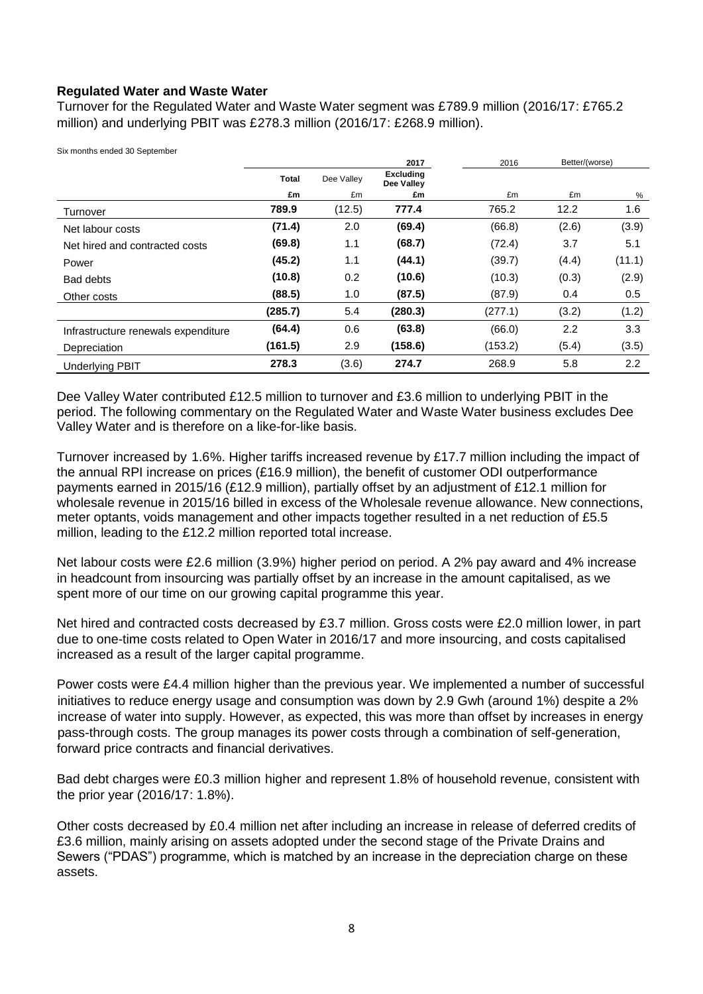## **Regulated Water and Waste Water**

Turnover for the Regulated Water and Waste Water segment was £789.9 million (2016/17: £765.2 million) and underlying PBIT was £278.3 million (2016/17: £268.9 million).

Six months ended 30 September

|                                     |         |            | 2017                           | 2016    | Better/(worse) |        |
|-------------------------------------|---------|------------|--------------------------------|---------|----------------|--------|
|                                     | Total   | Dee Valley | <b>Excluding</b><br>Dee Valley |         |                |        |
|                                     | £m      | £m         | £m                             | £m      | £m             | %      |
| Turnover                            | 789.9   | (12.5)     | 777.4                          | 765.2   | 12.2           | 1.6    |
| Net labour costs                    | (71.4)  | 2.0        | (69.4)                         | (66.8)  | (2.6)          | (3.9)  |
| Net hired and contracted costs      | (69.8)  | 1.1        | (68.7)                         | (72.4)  | 3.7            | 5.1    |
| Power                               | (45.2)  | 1.1        | (44.1)                         | (39.7)  | (4.4)          | (11.1) |
| Bad debts                           | (10.8)  | 0.2        | (10.6)                         | (10.3)  | (0.3)          | (2.9)  |
| Other costs                         | (88.5)  | 1.0        | (87.5)                         | (87.9)  | 0.4            | 0.5    |
|                                     | (285.7) | 5.4        | (280.3)                        | (277.1) | (3.2)          | (1.2)  |
| Infrastructure renewals expenditure | (64.4)  | 0.6        | (63.8)                         | (66.0)  | 2.2            | 3.3    |
| Depreciation                        | (161.5) | 2.9        | (158.6)                        | (153.2) | (5.4)          | (3.5)  |
| <b>Underlying PBIT</b>              | 278.3   | (3.6)      | 274.7                          | 268.9   | 5.8            | 2.2    |

Dee Valley Water contributed £12.5 million to turnover and £3.6 million to underlying PBIT in the period. The following commentary on the Regulated Water and Waste Water business excludes Dee Valley Water and is therefore on a like-for-like basis.

Turnover increased by 1.6%. Higher tariffs increased revenue by £17.7 million including the impact of the annual RPI increase on prices (£16.9 million), the benefit of customer ODI outperformance payments earned in 2015/16 (£12.9 million), partially offset by an adjustment of £12.1 million for wholesale revenue in 2015/16 billed in excess of the Wholesale revenue allowance. New connections, meter optants, voids management and other impacts together resulted in a net reduction of £5.5 million, leading to the £12.2 million reported total increase.

Net labour costs were £2.6 million (3.9%) higher period on period. A 2% pay award and 4% increase in headcount from insourcing was partially offset by an increase in the amount capitalised, as we spent more of our time on our growing capital programme this year.

Net hired and contracted costs decreased by £3.7 million. Gross costs were £2.0 million lower, in part due to one-time costs related to Open Water in 2016/17 and more insourcing, and costs capitalised increased as a result of the larger capital programme.

Power costs were £4.4 million higher than the previous year. We implemented a number of successful initiatives to reduce energy usage and consumption was down by 2.9 Gwh (around 1%) despite a 2% increase of water into supply. However, as expected, this was more than offset by increases in energy pass-through costs. The group manages its power costs through a combination of self-generation, forward price contracts and financial derivatives.

Bad debt charges were £0.3 million higher and represent 1.8% of household revenue, consistent with the prior year (2016/17: 1.8%).

Other costs decreased by £0.4 million net after including an increase in release of deferred credits of £3.6 million, mainly arising on assets adopted under the second stage of the Private Drains and Sewers ("PDAS") programme, which is matched by an increase in the depreciation charge on these assets.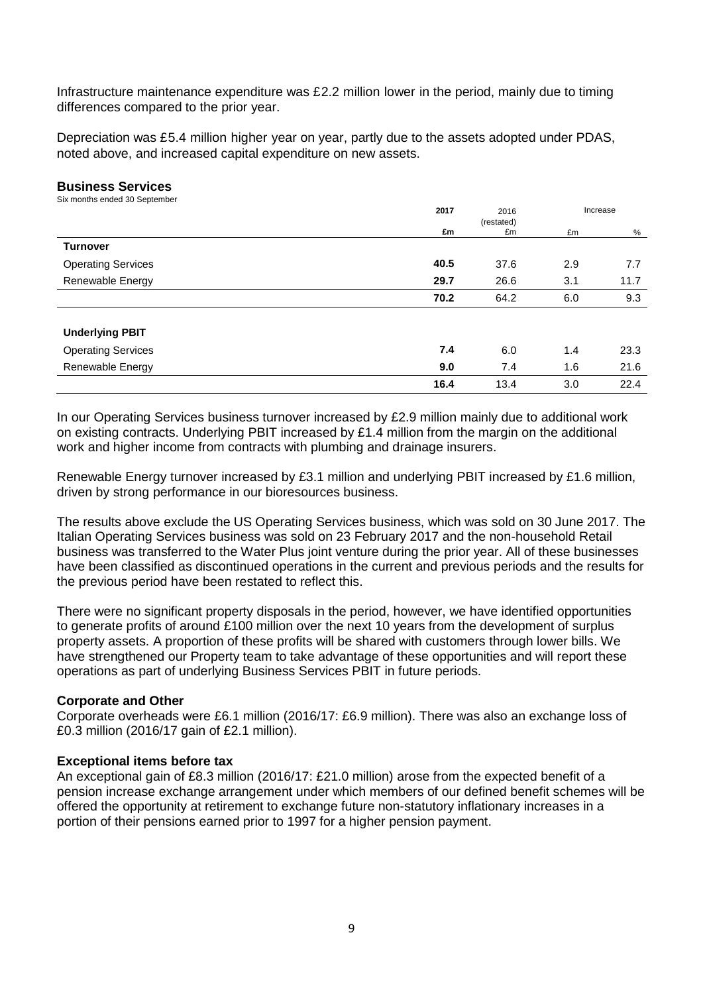Infrastructure maintenance expenditure was £2.2 million lower in the period, mainly due to timing differences compared to the prior year.

Depreciation was £5.4 million higher year on year, partly due to the assets adopted under PDAS, noted above, and increased capital expenditure on new assets.

#### **Business Services**

Six months ended 30 September

|                           | 2017 | 2016       |     | Increase |
|---------------------------|------|------------|-----|----------|
|                           |      | (restated) |     |          |
|                           | £m   | £m         | £m  | %        |
| <b>Turnover</b>           |      |            |     |          |
| <b>Operating Services</b> | 40.5 | 37.6       | 2.9 | 7.7      |
| Renewable Energy          | 29.7 | 26.6       | 3.1 | 11.7     |
|                           | 70.2 | 64.2       | 6.0 | 9.3      |
|                           |      |            |     |          |
| <b>Underlying PBIT</b>    |      |            |     |          |
| <b>Operating Services</b> | 7.4  | 6.0        | 1.4 | 23.3     |
| Renewable Energy          | 9.0  | 7.4        | 1.6 | 21.6     |
|                           | 16.4 | 13.4       | 3.0 | 22.4     |

In our Operating Services business turnover increased by £2.9 million mainly due to additional work on existing contracts. Underlying PBIT increased by £1.4 million from the margin on the additional work and higher income from contracts with plumbing and drainage insurers.

Renewable Energy turnover increased by £3.1 million and underlying PBIT increased by £1.6 million, driven by strong performance in our bioresources business.

The results above exclude the US Operating Services business, which was sold on 30 June 2017. The Italian Operating Services business was sold on 23 February 2017 and the non-household Retail business was transferred to the Water Plus joint venture during the prior year. All of these businesses have been classified as discontinued operations in the current and previous periods and the results for the previous period have been restated to reflect this.

There were no significant property disposals in the period, however, we have identified opportunities to generate profits of around £100 million over the next 10 years from the development of surplus property assets. A proportion of these profits will be shared with customers through lower bills. We have strengthened our Property team to take advantage of these opportunities and will report these operations as part of underlying Business Services PBIT in future periods.

### **Corporate and Other**

Corporate overheads were £6.1 million (2016/17: £6.9 million). There was also an exchange loss of £0.3 million (2016/17 gain of £2.1 million).

### **Exceptional items before tax**

An exceptional gain of £8.3 million (2016/17: £21.0 million) arose from the expected benefit of a pension increase exchange arrangement under which members of our defined benefit schemes will be offered the opportunity at retirement to exchange future non-statutory inflationary increases in a portion of their pensions earned prior to 1997 for a higher pension payment.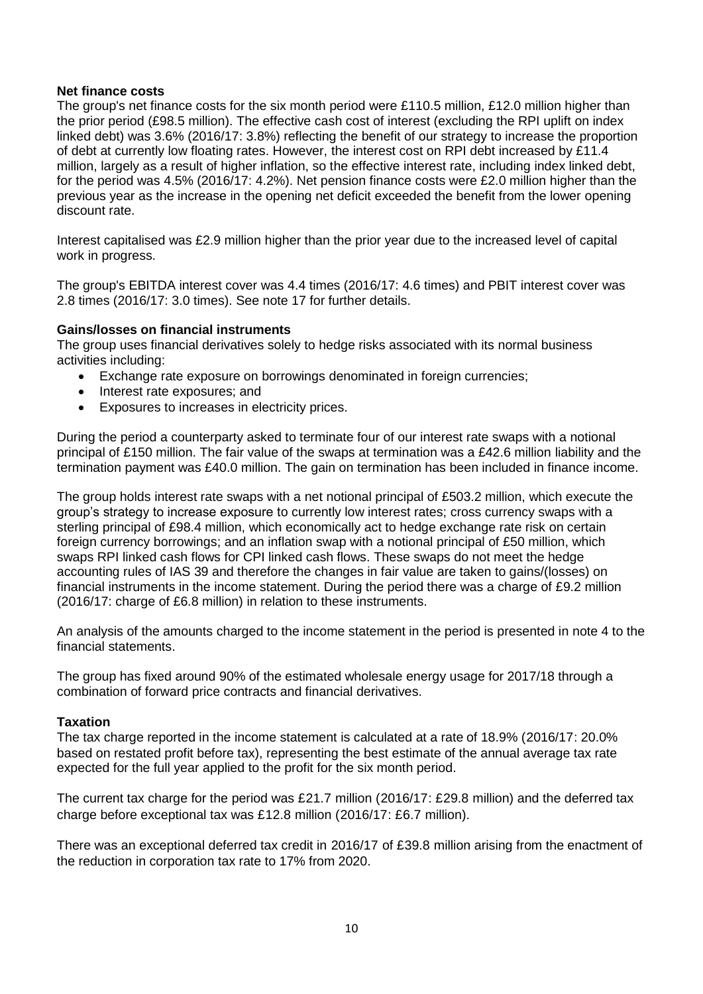### **Net finance costs**

The group's net finance costs for the six month period were £110.5 million, £12.0 million higher than the prior period (£98.5 million). The effective cash cost of interest (excluding the RPI uplift on index linked debt) was 3.6% (2016/17: 3.8%) reflecting the benefit of our strategy to increase the proportion of debt at currently low floating rates. However, the interest cost on RPI debt increased by £11.4 million, largely as a result of higher inflation, so the effective interest rate, including index linked debt, for the period was 4.5% (2016/17: 4.2%). Net pension finance costs were £2.0 million higher than the previous year as the increase in the opening net deficit exceeded the benefit from the lower opening discount rate.

Interest capitalised was £2.9 million higher than the prior year due to the increased level of capital work in progress.

The group's EBITDA interest cover was 4.4 times (2016/17: 4.6 times) and PBIT interest cover was 2.8 times (2016/17: 3.0 times). See note 17 for further details.

### **Gains/losses on financial instruments**

The group uses financial derivatives solely to hedge risks associated with its normal business activities including:

- Exchange rate exposure on borrowings denominated in foreign currencies;
- Interest rate exposures; and
- Exposures to increases in electricity prices.

During the period a counterparty asked to terminate four of our interest rate swaps with a notional principal of £150 million. The fair value of the swaps at termination was a £42.6 million liability and the termination payment was £40.0 million. The gain on termination has been included in finance income.

The group holds interest rate swaps with a net notional principal of £503.2 million, which execute the group's strategy to increase exposure to currently low interest rates; cross currency swaps with a sterling principal of £98.4 million, which economically act to hedge exchange rate risk on certain foreign currency borrowings; and an inflation swap with a notional principal of £50 million, which swaps RPI linked cash flows for CPI linked cash flows. These swaps do not meet the hedge accounting rules of IAS 39 and therefore the changes in fair value are taken to gains/(losses) on financial instruments in the income statement. During the period there was a charge of £9.2 million (2016/17: charge of £6.8 million) in relation to these instruments.

An analysis of the amounts charged to the income statement in the period is presented in note 4 to the financial statements.

The group has fixed around 90% of the estimated wholesale energy usage for 2017/18 through a combination of forward price contracts and financial derivatives.

### **Taxation**

The tax charge reported in the income statement is calculated at a rate of 18.9% (2016/17: 20.0% based on restated profit before tax), representing the best estimate of the annual average tax rate expected for the full year applied to the profit for the six month period.

The current tax charge for the period was £21.7 million (2016/17: £29.8 million) and the deferred tax charge before exceptional tax was £12.8 million (2016/17: £6.7 million).

There was an exceptional deferred tax credit in 2016/17 of £39.8 million arising from the enactment of the reduction in corporation tax rate to 17% from 2020.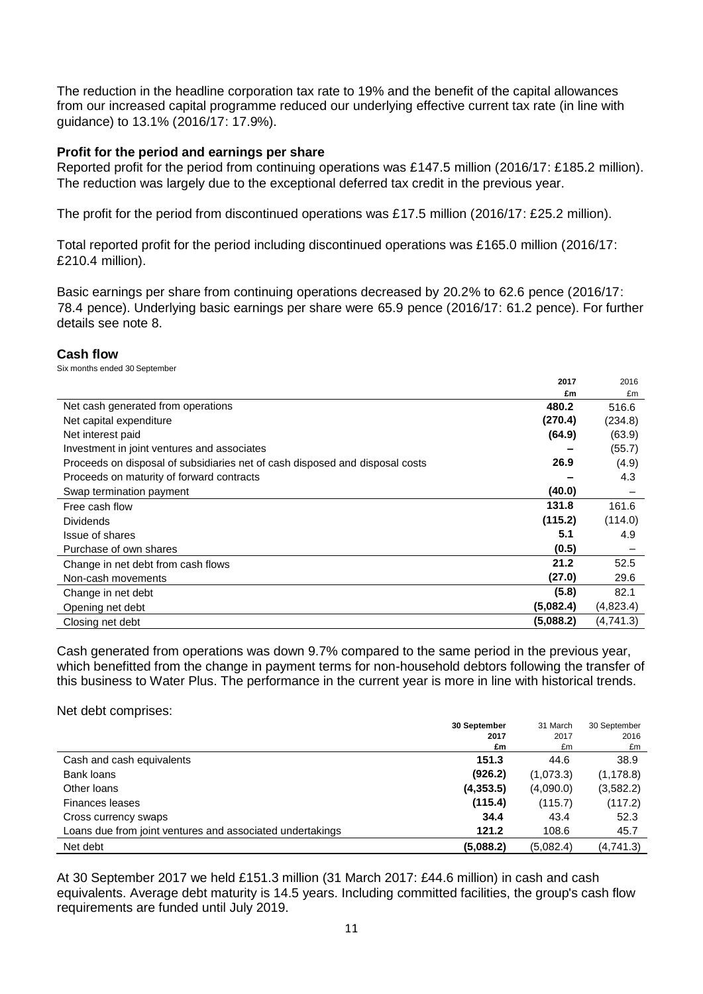The reduction in the headline corporation tax rate to 19% and the benefit of the capital allowances from our increased capital programme reduced our underlying effective current tax rate (in line with guidance) to 13.1% (2016/17: 17.9%).

### **Profit for the period and earnings per share**

Reported profit for the period from continuing operations was £147.5 million (2016/17: £185.2 million). The reduction was largely due to the exceptional deferred tax credit in the previous year.

The profit for the period from discontinued operations was £17.5 million (2016/17: £25.2 million).

Total reported profit for the period including discontinued operations was £165.0 million (2016/17: £210.4 million).

Basic earnings per share from continuing operations decreased by 20.2% to 62.6 pence (2016/17: 78.4 pence). Underlying basic earnings per share were 65.9 pence (2016/17: 61.2 pence). For further details see note 8.

### **Cash flow**

Six months ended 30 September

|                                                                              | 2017      | 2016      |
|------------------------------------------------------------------------------|-----------|-----------|
|                                                                              | £m        | £m        |
| Net cash generated from operations                                           | 480.2     | 516.6     |
| Net capital expenditure                                                      | (270.4)   | (234.8)   |
| Net interest paid                                                            | (64.9)    | (63.9)    |
| Investment in joint ventures and associates                                  |           | (55.7)    |
| Proceeds on disposal of subsidiaries net of cash disposed and disposal costs | 26.9      | (4.9)     |
| Proceeds on maturity of forward contracts                                    |           | 4.3       |
| Swap termination payment                                                     | (40.0)    |           |
| Free cash flow                                                               | 131.8     | 161.6     |
| <b>Dividends</b>                                                             | (115.2)   | (114.0)   |
| Issue of shares                                                              | 5.1       | 4.9       |
| Purchase of own shares                                                       | (0.5)     |           |
| Change in net debt from cash flows                                           | 21.2      | 52.5      |
| Non-cash movements                                                           | (27.0)    | 29.6      |
| Change in net debt                                                           | (5.8)     | 82.1      |
| Opening net debt                                                             | (5,082.4) | (4,823.4) |
| Closing net debt                                                             | (5,088.2) | (4,741.3) |
|                                                                              |           |           |

Cash generated from operations was down 9.7% compared to the same period in the previous year, which benefitted from the change in payment terms for non-household debtors following the transfer of this business to Water Plus. The performance in the current year is more in line with historical trends.

### Net debt comprises:

|                                                           | 30 September | 31 March  | 30 September |
|-----------------------------------------------------------|--------------|-----------|--------------|
|                                                           | 2017         | 2017      | 2016         |
|                                                           | £m           | £m        | £m           |
| Cash and cash equivalents                                 | 151.3        | 44.6      | 38.9         |
| Bank loans                                                | (926.2)      | (1,073.3) | (1, 178.8)   |
| Other Ioans                                               | (4, 353.5)   | (4,090.0) | (3,582.2)    |
| <b>Finances leases</b>                                    | (115.4)      | (115.7)   | (117.2)      |
| Cross currency swaps                                      | 34.4         | 43.4      | 52.3         |
| Loans due from joint ventures and associated undertakings | 121.2        | 108.6     | 45.7         |
| Net debt                                                  | (5,088.2)    | (5,082.4) | (4,741.3)    |

At 30 September 2017 we held £151.3 million (31 March 2017: £44.6 million) in cash and cash equivalents. Average debt maturity is 14.5 years. Including committed facilities, the group's cash flow requirements are funded until July 2019.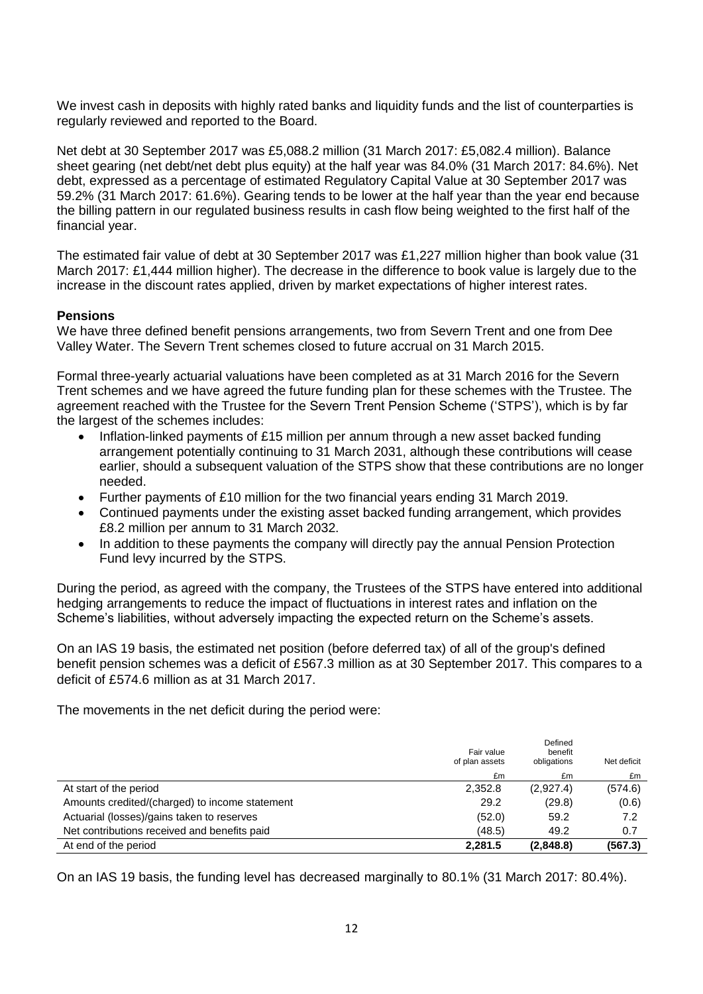We invest cash in deposits with highly rated banks and liquidity funds and the list of counterparties is regularly reviewed and reported to the Board.

Net debt at 30 September 2017 was £5,088.2 million (31 March 2017: £5,082.4 million). Balance sheet gearing (net debt/net debt plus equity) at the half year was 84.0% (31 March 2017: 84.6%). Net debt, expressed as a percentage of estimated Regulatory Capital Value at 30 September 2017 was 59.2% (31 March 2017: 61.6%). Gearing tends to be lower at the half year than the year end because the billing pattern in our regulated business results in cash flow being weighted to the first half of the financial year.

The estimated fair value of debt at 30 September 2017 was £1,227 million higher than book value (31 March 2017: £1,444 million higher). The decrease in the difference to book value is largely due to the increase in the discount rates applied, driven by market expectations of higher interest rates.

### **Pensions**

We have three defined benefit pensions arrangements, two from Severn Trent and one from Dee Valley Water. The Severn Trent schemes closed to future accrual on 31 March 2015.

Formal three-yearly actuarial valuations have been completed as at 31 March 2016 for the Severn Trent schemes and we have agreed the future funding plan for these schemes with the Trustee. The agreement reached with the Trustee for the Severn Trent Pension Scheme ('STPS'), which is by far the largest of the schemes includes:

- Inflation-linked payments of £15 million per annum through a new asset backed funding arrangement potentially continuing to 31 March 2031, although these contributions will cease earlier, should a subsequent valuation of the STPS show that these contributions are no longer needed.
- Further payments of £10 million for the two financial years ending 31 March 2019.
- Continued payments under the existing asset backed funding arrangement, which provides £8.2 million per annum to 31 March 2032.
- In addition to these payments the company will directly pay the annual Pension Protection Fund levy incurred by the STPS.

During the period, as agreed with the company, the Trustees of the STPS have entered into additional hedging arrangements to reduce the impact of fluctuations in interest rates and inflation on the Scheme's liabilities, without adversely impacting the expected return on the Scheme's assets.

On an IAS 19 basis, the estimated net position (before deferred tax) of all of the group's defined benefit pension schemes was a deficit of £567.3 million as at 30 September 2017. This compares to a deficit of £574.6 million as at 31 March 2017.

The movements in the net deficit during the period were:

|                                                | Fair value<br>of plan assets | Defined<br>benefit<br>obligations | Net deficit |
|------------------------------------------------|------------------------------|-----------------------------------|-------------|
|                                                | £m                           | £m                                | £m          |
| At start of the period                         | 2,352.8                      | (2,927.4)                         | (574.6)     |
| Amounts credited/(charged) to income statement | 29.2                         | (29.8)                            | (0.6)       |
| Actuarial (losses)/gains taken to reserves     | (52.0)                       | 59.2                              | 7.2         |
| Net contributions received and benefits paid   | (48.5)                       | 49.2                              | 0.7         |
| At end of the period                           | 2.281.5                      | (2,848.8)                         | (567.3)     |

On an IAS 19 basis, the funding level has decreased marginally to 80.1% (31 March 2017: 80.4%).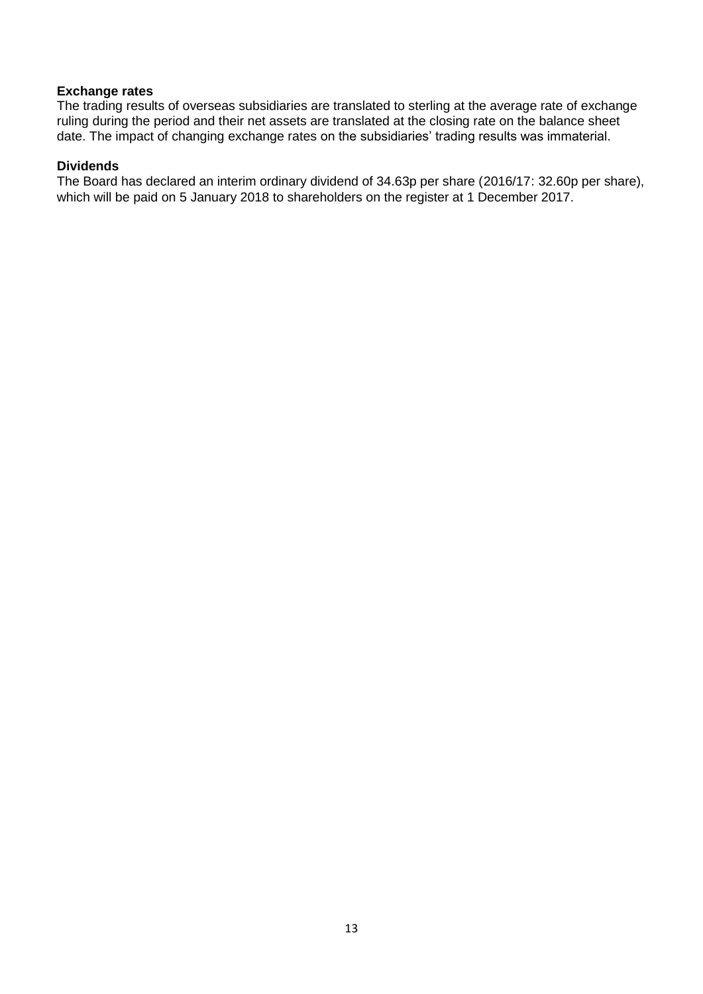### **Exchange rates**

The trading results of overseas subsidiaries are translated to sterling at the average rate of exchange ruling during the period and their net assets are translated at the closing rate on the balance sheet date. The impact of changing exchange rates on the subsidiaries' trading results was immaterial.

### **Dividends**

The Board has declared an interim ordinary dividend of 34.63p per share (2016/17: 32.60p per share), which will be paid on 5 January 2018 to shareholders on the register at 1 December 2017.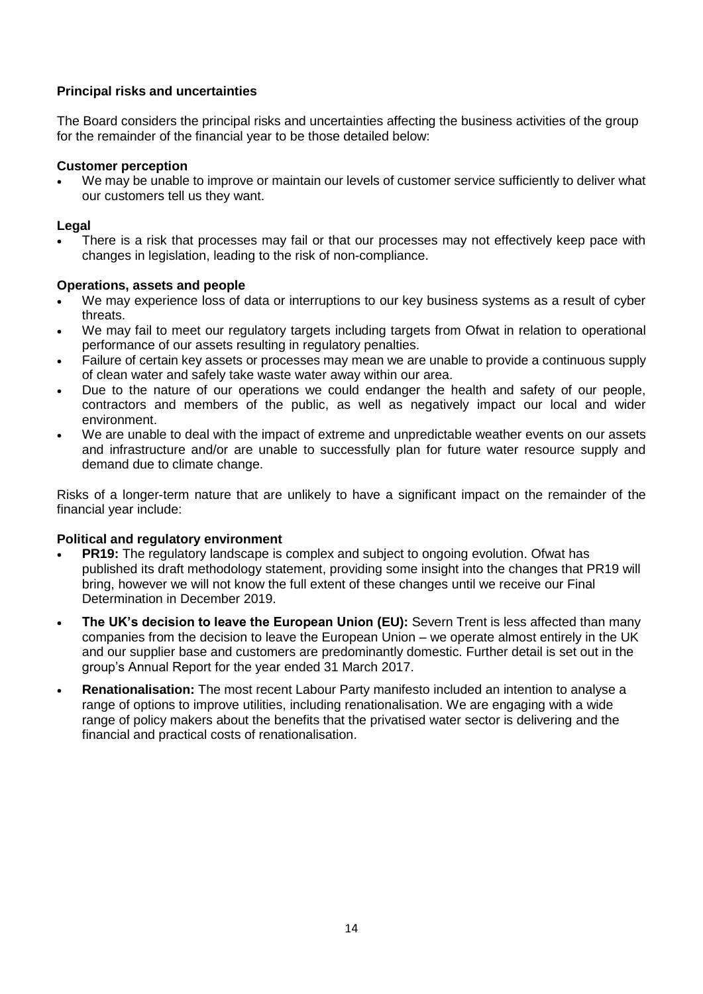# **Principal risks and uncertainties**

The Board considers the principal risks and uncertainties affecting the business activities of the group for the remainder of the financial year to be those detailed below:

### **Customer perception**

We may be unable to improve or maintain our levels of customer service sufficiently to deliver what our customers tell us they want.

### **Legal**

 There is a risk that processes may fail or that our processes may not effectively keep pace with changes in legislation, leading to the risk of non-compliance.

### **Operations, assets and people**

- We may experience loss of data or interruptions to our key business systems as a result of cyber threats.
- We may fail to meet our regulatory targets including targets from Ofwat in relation to operational performance of our assets resulting in regulatory penalties.
- Failure of certain key assets or processes may mean we are unable to provide a continuous supply of clean water and safely take waste water away within our area.
- Due to the nature of our operations we could endanger the health and safety of our people, contractors and members of the public, as well as negatively impact our local and wider environment.
- We are unable to deal with the impact of extreme and unpredictable weather events on our assets and infrastructure and/or are unable to successfully plan for future water resource supply and demand due to climate change.

Risks of a longer-term nature that are unlikely to have a significant impact on the remainder of the financial year include:

### **Political and regulatory environment**

- **PR19:** The regulatory landscape is complex and subject to ongoing evolution. Ofwat has published its draft methodology statement, providing some insight into the changes that PR19 will bring, however we will not know the full extent of these changes until we receive our Final Determination in December 2019.
- **The UK's decision to leave the European Union (EU):** Severn Trent is less affected than many companies from the decision to leave the European Union – we operate almost entirely in the UK and our supplier base and customers are predominantly domestic. Further detail is set out in the group's Annual Report for the year ended 31 March 2017.
- **Renationalisation:** The most recent Labour Party manifesto included an intention to analyse a range of options to improve utilities, including renationalisation. We are engaging with a wide range of policy makers about the benefits that the privatised water sector is delivering and the financial and practical costs of renationalisation.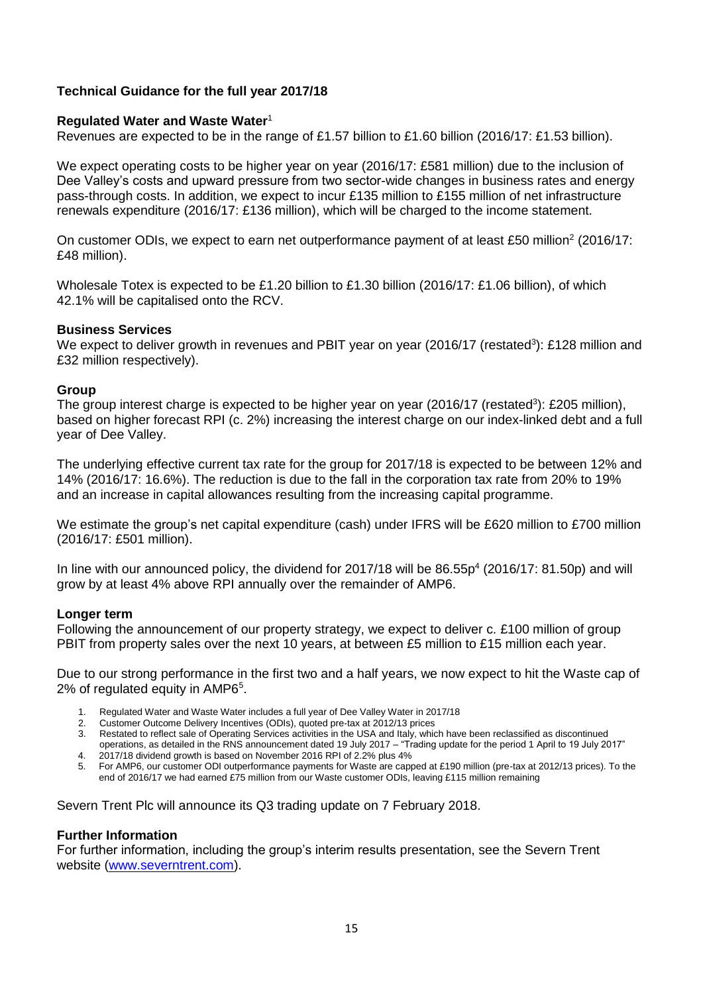# **Technical Guidance for the full year 2017/18**

### **Regulated Water and Waste Water**<sup>1</sup>

Revenues are expected to be in the range of £1.57 billion to £1.60 billion (2016/17: £1.53 billion).

We expect operating costs to be higher year on year (2016/17: £581 million) due to the inclusion of Dee Valley's costs and upward pressure from two sector-wide changes in business rates and energy pass-through costs. In addition, we expect to incur £135 million to £155 million of net infrastructure renewals expenditure (2016/17: £136 million), which will be charged to the income statement.

On customer ODIs, we expect to earn net outperformance payment of at least £50 million<sup>2</sup> (2016/17: £48 million).

Wholesale Totex is expected to be £1.20 billion to £1.30 billion (2016/17: £1.06 billion), of which 42.1% will be capitalised onto the RCV.

### **Business Services**

We expect to deliver growth in revenues and PBIT year on year (2016/17 (restated<sup>3</sup>): £128 million and £32 million respectively).

### **Group**

The group interest charge is expected to be higher year on year (2016/17 (restated<sup>3</sup>): £205 million), based on higher forecast RPI (c. 2%) increasing the interest charge on our index-linked debt and a full year of Dee Valley.

The underlying effective current tax rate for the group for 2017/18 is expected to be between 12% and 14% (2016/17: 16.6%). The reduction is due to the fall in the corporation tax rate from 20% to 19% and an increase in capital allowances resulting from the increasing capital programme.

We estimate the group's net capital expenditure (cash) under IFRS will be £620 million to £700 million (2016/17: £501 million).

In line with our announced policy, the dividend for 2017/18 will be 86.55p<sup>4</sup> (2016/17: 81.50p) and will grow by at least 4% above RPI annually over the remainder of AMP6.

### **Longer term**

Following the announcement of our property strategy, we expect to deliver c. £100 million of group PBIT from property sales over the next 10 years, at between £5 million to £15 million each year.

Due to our strong performance in the first two and a half years, we now expect to hit the Waste cap of 2% of regulated equity in AMP6<sup>5</sup>.

- 1. Regulated Water and Waste Water includes a full year of Dee Valley Water in 2017/18
- 2. Customer Outcome Delivery Incentives (ODIs), quoted pre-tax at 2012/13 prices
- 3. Restated to reflect sale of Operating Services activities in the USA and Italy, which have been reclassified as discontinued
- operations, as detailed in the RNS announcement dated 19 July 2017 "Trading update for the period 1 April to 19 July 2017" 4. 2017/18 dividend growth is based on November 2016 RPI of 2.2% plus 4%
- 5. For AMP6, our customer ODI outperformance payments for Waste are capped at £190 million (pre-tax at 2012/13 prices). To the end of 2016/17 we had earned £75 million from our Waste customer ODIs, leaving £115 million remaining

Severn Trent Plc will announce its Q3 trading update on 7 February 2018.

### **Further Information**

For further information, including the group's interim results presentation, see the Severn Trent website [\(www.severntrent.com\)](http://www.severntrent.com/).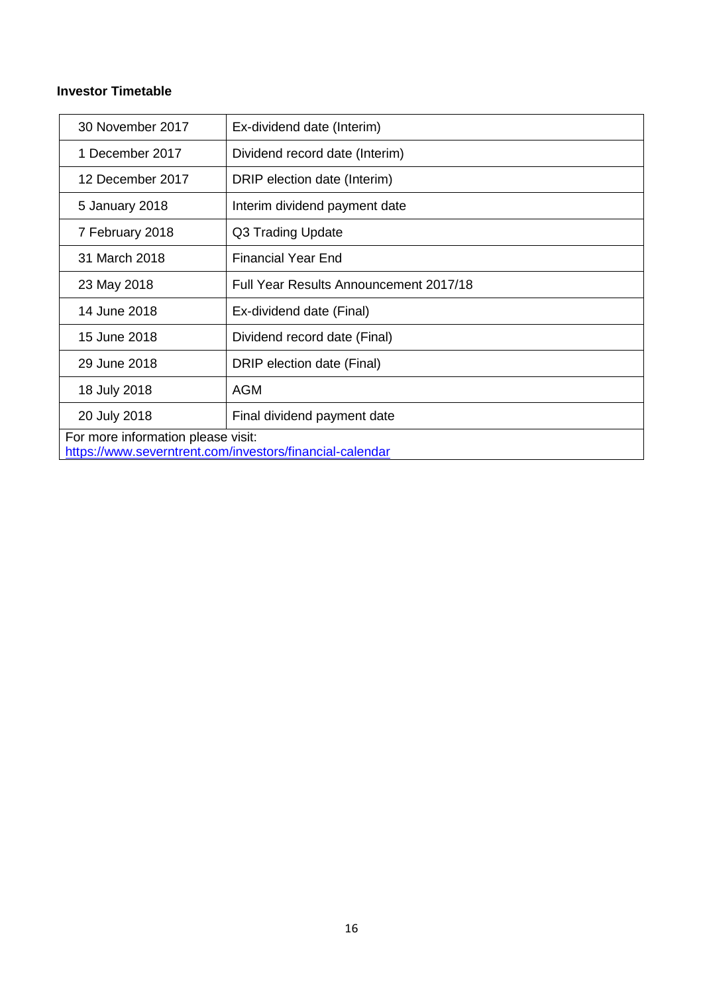### **Investor Timetable**

| 30 November 2017                   | Ex-dividend date (Interim)                               |
|------------------------------------|----------------------------------------------------------|
| 1 December 2017                    | Dividend record date (Interim)                           |
| 12 December 2017                   | DRIP election date (Interim)                             |
| 5 January 2018                     | Interim dividend payment date                            |
| 7 February 2018                    | Q3 Trading Update                                        |
| 31 March 2018                      | <b>Financial Year End</b>                                |
| 23 May 2018                        | Full Year Results Announcement 2017/18                   |
| 14 June 2018                       | Ex-dividend date (Final)                                 |
| 15 June 2018                       | Dividend record date (Final)                             |
| 29 June 2018                       | DRIP election date (Final)                               |
| 18 July 2018                       | <b>AGM</b>                                               |
| 20 July 2018                       | Final dividend payment date                              |
| For more information please visit: | https://www.severntrent.com/investors/financial-calendar |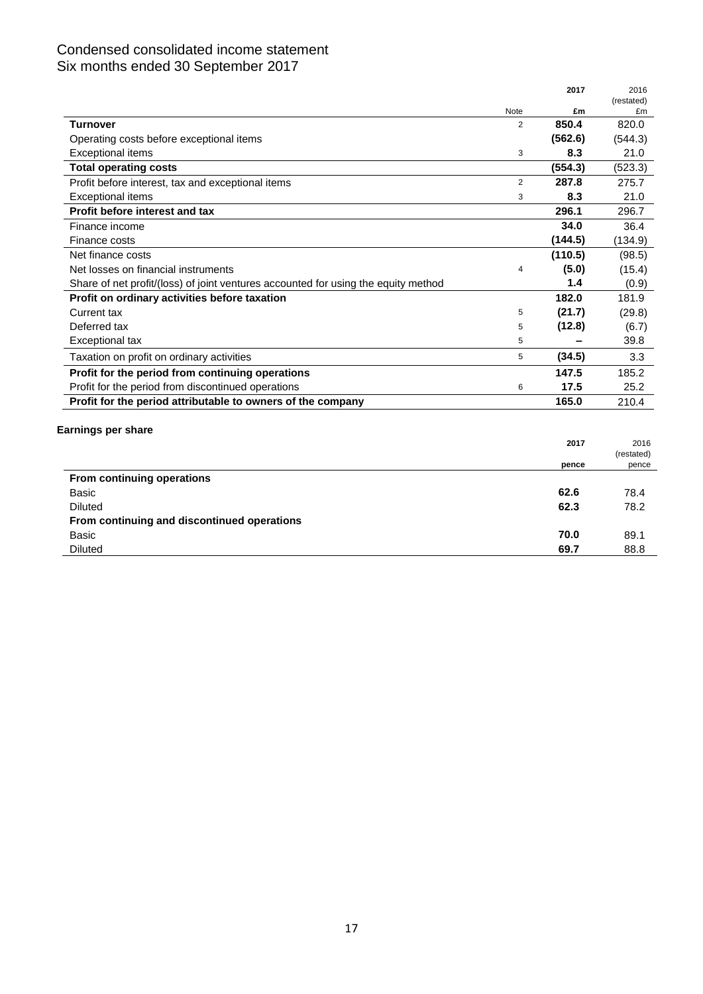# Condensed consolidated income statement Six months ended 30 September 2017

|                                                                                    |             | 2017    | 2016             |
|------------------------------------------------------------------------------------|-------------|---------|------------------|
|                                                                                    | <b>Note</b> | £m      | (restated)<br>£m |
| <b>Turnover</b>                                                                    | 2           | 850.4   | 820.0            |
| Operating costs before exceptional items                                           |             | (562.6) | (544.3)          |
| Exceptional items                                                                  | 3           | 8.3     | 21.0             |
| <b>Total operating costs</b>                                                       |             | (554.3) | (523.3)          |
| Profit before interest, tax and exceptional items                                  | 2           | 287.8   | 275.7            |
| <b>Exceptional items</b>                                                           | 3           | 8.3     | 21.0             |
| Profit before interest and tax                                                     |             | 296.1   | 296.7            |
| Finance income                                                                     |             | 34.0    | 36.4             |
| Finance costs                                                                      |             | (144.5) | (134.9)          |
| Net finance costs                                                                  |             | (110.5) | (98.5)           |
| Net losses on financial instruments                                                | 4           | (5.0)   | (15.4)           |
| Share of net profit/(loss) of joint ventures accounted for using the equity method |             | 1.4     | (0.9)            |
| Profit on ordinary activities before taxation                                      |             | 182.0   | 181.9            |
| Current tax                                                                        | 5           | (21.7)  | (29.8)           |
| Deferred tax                                                                       | 5           | (12.8)  | (6.7)            |
| Exceptional tax                                                                    | 5           |         | 39.8             |
| Taxation on profit on ordinary activities                                          | 5           | (34.5)  | 3.3              |
| Profit for the period from continuing operations                                   |             | 147.5   | 185.2            |
| Profit for the period from discontinued operations                                 | 6           | 17.5    | 25.2             |
| Profit for the period attributable to owners of the company                        |             | 165.0   | 210.4            |
|                                                                                    |             |         |                  |

### **Earnings per share**

|                                             | 2017  | 2016<br>(restated) |
|---------------------------------------------|-------|--------------------|
|                                             |       |                    |
|                                             | pence | pence              |
| From continuing operations                  |       |                    |
| Basic                                       | 62.6  | 78.4               |
| <b>Diluted</b>                              | 62.3  | 78.2               |
| From continuing and discontinued operations |       |                    |
| Basic                                       | 70.0  | 89.1               |
| <b>Diluted</b>                              | 69.7  | 88.8               |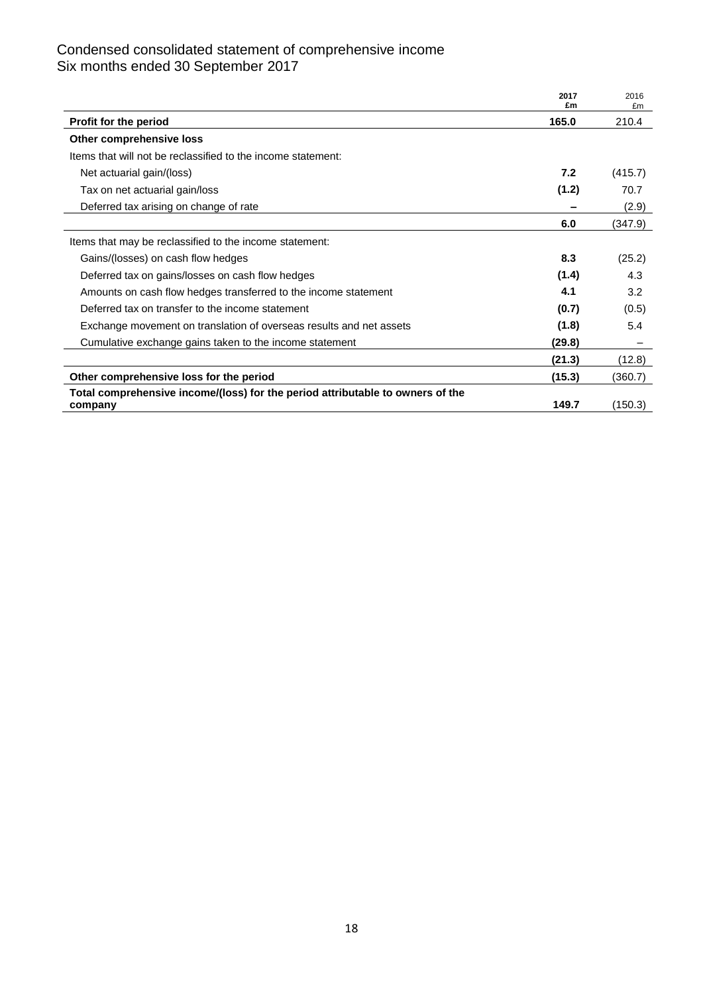# Condensed consolidated statement of comprehensive income Six months ended 30 September 2017

|                                                                                | 2017<br>£m | 2016<br>£m |
|--------------------------------------------------------------------------------|------------|------------|
| <b>Profit for the period</b>                                                   | 165.0      | 210.4      |
| Other comprehensive loss                                                       |            |            |
| Items that will not be reclassified to the income statement:                   |            |            |
| Net actuarial gain/(loss)                                                      | 7.2        | (415.7)    |
| Tax on net actuarial gain/loss                                                 | (1.2)      | 70.7       |
| Deferred tax arising on change of rate                                         |            | (2.9)      |
|                                                                                | 6.0        | (347.9)    |
| Items that may be reclassified to the income statement:                        |            |            |
| Gains/(losses) on cash flow hedges                                             | 8.3        | (25.2)     |
| Deferred tax on gains/losses on cash flow hedges                               | (1.4)      | 4.3        |
| Amounts on cash flow hedges transferred to the income statement                | 4.1        | 3.2        |
| Deferred tax on transfer to the income statement                               | (0.7)      | (0.5)      |
| Exchange movement on translation of overseas results and net assets            | (1.8)      | 5.4        |
| Cumulative exchange gains taken to the income statement                        | (29.8)     |            |
|                                                                                | (21.3)     | (12.8)     |
| Other comprehensive loss for the period                                        | (15.3)     | (360.7)    |
| Total comprehensive income/(loss) for the period attributable to owners of the |            |            |
| company                                                                        | 149.7      | (150.3)    |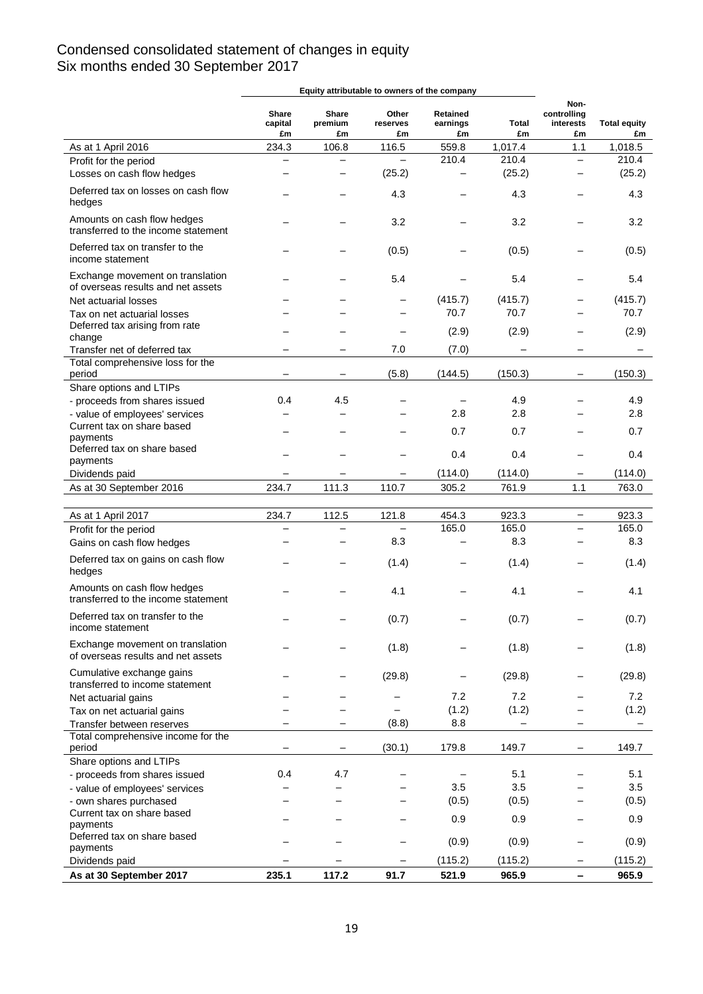# Condensed consolidated statement of changes in equity Six months ended 30 September 2017

|                                                                        | Equity attributable to owners of the company |                          |                          |                            |                          |                                        |                           |
|------------------------------------------------------------------------|----------------------------------------------|--------------------------|--------------------------|----------------------------|--------------------------|----------------------------------------|---------------------------|
|                                                                        | Share<br>capital<br>£m                       | Share<br>premium<br>£m   | Other<br>reserves<br>£m  | Retained<br>earnings<br>£m | <b>Total</b><br>£m       | Non-<br>controlling<br>interests<br>£m | <b>Total equity</b><br>£m |
| As at 1 April 2016                                                     | 234.3                                        | 106.8                    | 116.5                    | 559.8                      | 1,017.4                  | 1.1                                    | 1,018.5                   |
| Profit for the period                                                  |                                              | $\qquad \qquad -$        | Ξ.                       | 210.4                      | 210.4                    | $\overline{\phantom{0}}$               | 210.4                     |
| Losses on cash flow hedges                                             |                                              | —                        | (25.2)                   |                            | (25.2)                   |                                        | (25.2)                    |
| Deferred tax on losses on cash flow<br>hedges                          |                                              |                          | 4.3                      |                            | 4.3                      |                                        | 4.3                       |
| Amounts on cash flow hedges<br>transferred to the income statement     |                                              |                          | 3.2                      |                            | 3.2                      |                                        | 3.2                       |
| Deferred tax on transfer to the<br>income statement                    |                                              |                          | (0.5)                    |                            | (0.5)                    |                                        | (0.5)                     |
| Exchange movement on translation<br>of overseas results and net assets |                                              |                          | 5.4                      |                            | 5.4                      |                                        | 5.4                       |
| Net actuarial losses                                                   |                                              |                          |                          | (415.7)                    | (415.7)                  |                                        | (415.7)                   |
| Tax on net actuarial losses<br>Deferred tax arising from rate          |                                              |                          |                          | 70.7                       | 70.7                     |                                        | 70.7                      |
| change                                                                 |                                              |                          |                          | (2.9)                      | (2.9)                    |                                        | (2.9)                     |
| Transfer net of deferred tax                                           |                                              |                          | 7.0                      | (7.0)                      |                          | $\overline{\phantom{0}}$               |                           |
| Total comprehensive loss for the                                       |                                              |                          |                          |                            |                          |                                        |                           |
| period                                                                 |                                              | $\qquad \qquad$          | (5.8)                    | (144.5)                    | (150.3)                  | $\overline{\phantom{0}}$               | (150.3)                   |
| Share options and LTIPs                                                | 0.4                                          | 4.5                      |                          |                            | 4.9                      |                                        | 4.9                       |
| - proceeds from shares issued<br>- value of employees' services        |                                              |                          |                          | 2.8                        | 2.8                      |                                        | 2.8                       |
| Current tax on share based                                             |                                              |                          |                          |                            |                          |                                        |                           |
| payments                                                               |                                              | -                        |                          | 0.7                        | 0.7                      |                                        | 0.7                       |
| Deferred tax on share based                                            |                                              |                          |                          | 0.4                        | 0.4                      |                                        | 0.4                       |
| payments<br>Dividends paid                                             |                                              |                          |                          | (114.0)                    | (114.0)                  | $\qquad \qquad -$                      | (114.0)                   |
| As at 30 September 2016                                                | 234.7                                        | 111.3                    | 110.7                    | 305.2                      | 761.9                    | 1.1                                    | 763.0                     |
|                                                                        |                                              |                          |                          |                            |                          |                                        |                           |
| As at 1 April 2017                                                     | 234.7                                        | 112.5                    | 121.8                    | 454.3                      | 923.3                    | $\qquad \qquad -$                      | 923.3                     |
| Profit for the period                                                  |                                              | $\overline{\phantom{0}}$ | $\overline{\phantom{0}}$ | 165.0                      | 165.0                    | $\qquad \qquad -$                      | 165.0                     |
| Gains on cash flow hedges                                              |                                              |                          | 8.3                      |                            | 8.3                      |                                        | 8.3                       |
| Deferred tax on gains on cash flow<br>hedges                           |                                              | $\overline{\phantom{0}}$ | (1.4)                    |                            | (1.4)                    |                                        | (1.4)                     |
| Amounts on cash flow hedges<br>transferred to the income statement     |                                              |                          | 4.1                      |                            | 4.1                      |                                        | 4.1                       |
| Deferred tax on transfer to the<br>income statement                    |                                              |                          | (0.7)                    |                            | (0.7)                    |                                        | (0.7)                     |
| Exchange movement on translation<br>of overseas results and net assets |                                              |                          | (1.8)                    |                            | (1.8)                    |                                        | (1.8)                     |
| Cumulative exchange gains<br>transferred to income statement           |                                              |                          | (29.8)                   |                            | (29.8)                   |                                        | (29.8)                    |
| Net actuarial gains                                                    |                                              | $\overline{\phantom{0}}$ |                          | 7.2                        | 7.2                      | -                                      | 7.2                       |
| Tax on net actuarial gains                                             |                                              |                          |                          | (1.2)<br>8.8               | (1.2)                    |                                        | (1.2)                     |
| Transfer between reserves<br>Total comprehensive income for the        |                                              |                          | (8.8)                    |                            | $\overline{\phantom{0}}$ | $\overline{\phantom{0}}$               | -                         |
| period                                                                 | $\qquad \qquad -$                            | -                        | (30.1)                   | 179.8                      | 149.7                    | $\overline{\phantom{0}}$               | 149.7                     |
| Share options and LTIPs                                                |                                              |                          |                          |                            |                          |                                        |                           |
| - proceeds from shares issued                                          | 0.4                                          | 4.7                      |                          |                            | 5.1                      |                                        | 5.1                       |
| - value of employees' services                                         |                                              |                          |                          | 3.5                        | 3.5                      |                                        | 3.5                       |
| - own shares purchased                                                 |                                              |                          |                          | (0.5)                      | (0.5)                    |                                        | (0.5)                     |
| Current tax on share based<br>payments                                 |                                              |                          |                          | 0.9                        | 0.9                      |                                        | 0.9                       |
| Deferred tax on share based<br>payments                                |                                              |                          |                          | (0.9)                      | (0.9)                    |                                        | (0.9)                     |
| Dividends paid                                                         |                                              |                          |                          | (115.2)                    | (115.2)                  |                                        | (115.2)                   |
| As at 30 September 2017                                                | 235.1                                        | 117.2                    | 91.7                     | 521.9                      | 965.9                    | $\qquad \qquad \blacksquare$           | 965.9                     |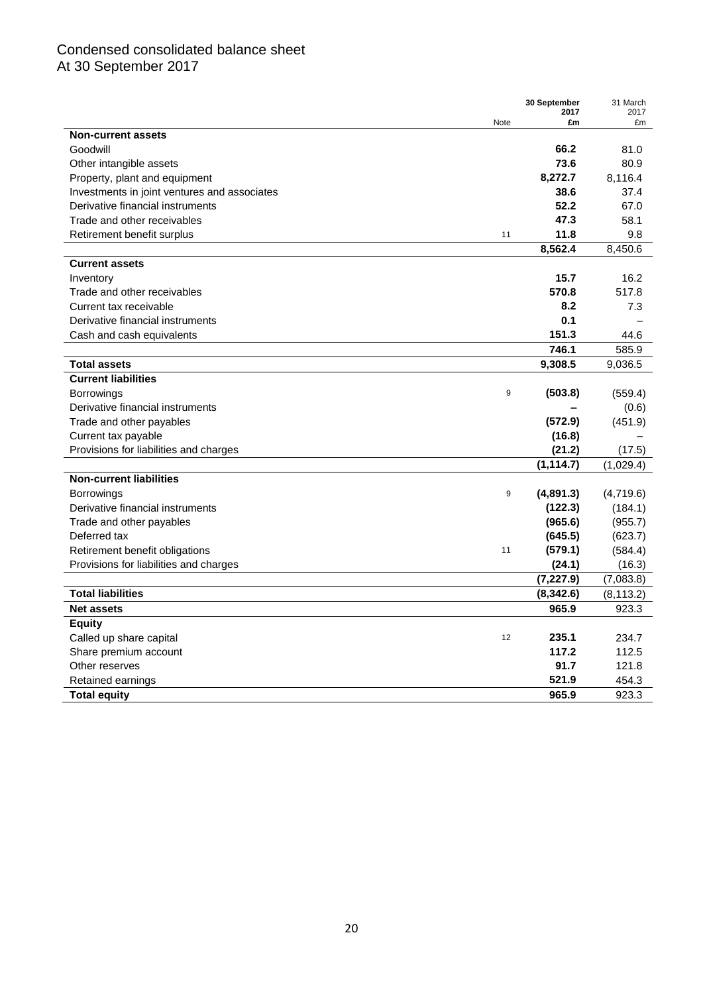## Condensed consolidated balance sheet At 30 September 2017

|                                              |      | 30 September | 31 March   |
|----------------------------------------------|------|--------------|------------|
|                                              | Note | 2017<br>£m   | 2017<br>£m |
| <b>Non-current assets</b>                    |      |              |            |
| Goodwill                                     |      | 66.2         | 81.0       |
| Other intangible assets                      |      | 73.6         | 80.9       |
| Property, plant and equipment                |      | 8,272.7      | 8,116.4    |
| Investments in joint ventures and associates |      | 38.6         | 37.4       |
| Derivative financial instruments             |      | 52.2         | 67.0       |
| Trade and other receivables                  |      | 47.3         | 58.1       |
| Retirement benefit surplus                   | 11   | 11.8         | 9.8        |
|                                              |      | 8,562.4      | 8,450.6    |
| <b>Current assets</b>                        |      |              |            |
| Inventory                                    |      | 15.7         | 16.2       |
| Trade and other receivables                  |      | 570.8        | 517.8      |
| Current tax receivable                       |      | 8.2          | 7.3        |
| Derivative financial instruments             |      | 0.1          |            |
| Cash and cash equivalents                    |      | 151.3        | 44.6       |
|                                              |      | 746.1        | 585.9      |
| <b>Total assets</b>                          |      | 9,308.5      | 9,036.5    |
| <b>Current liabilities</b>                   |      |              |            |
| <b>Borrowings</b>                            | 9    | (503.8)      | (559.4)    |
| Derivative financial instruments             |      |              | (0.6)      |
| Trade and other payables                     |      | (572.9)      | (451.9)    |
| Current tax payable                          |      | (16.8)       |            |
| Provisions for liabilities and charges       |      | (21.2)       | (17.5)     |
|                                              |      | (1, 114.7)   | (1,029.4)  |
| <b>Non-current liabilities</b>               |      |              |            |
| <b>Borrowings</b>                            | 9    | (4,891.3)    | (4,719.6)  |
| Derivative financial instruments             |      | (122.3)      | (184.1)    |
| Trade and other payables                     |      | (965.6)      | (955.7)    |
| Deferred tax                                 |      | (645.5)      | (623.7)    |
| Retirement benefit obligations               | 11   | (579.1)      | (584.4)    |
| Provisions for liabilities and charges       |      | (24.1)       | (16.3)     |
|                                              |      | (7, 227.9)   | (7,083.8)  |
| <b>Total liabilities</b>                     |      | (8, 342.6)   | (8, 113.2) |
| <b>Net assets</b>                            |      | 965.9        | 923.3      |
| <b>Equity</b>                                |      |              |            |
| Called up share capital                      | 12   | 235.1        | 234.7      |
| Share premium account                        |      | 117.2        | 112.5      |
| Other reserves                               |      | 91.7         | 121.8      |
| Retained earnings                            |      | 521.9        | 454.3      |
| <b>Total equity</b>                          |      | 965.9        | 923.3      |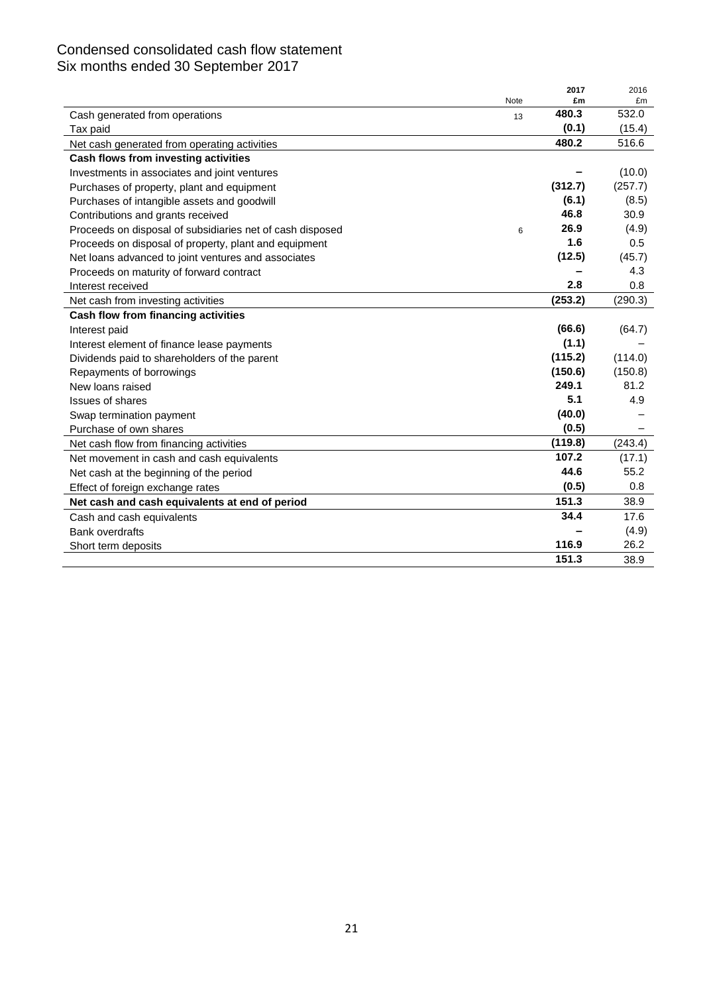# Condensed consolidated cash flow statement Six months ended 30 September 2017

|                                                           |      | 2017    | 2016    |
|-----------------------------------------------------------|------|---------|---------|
|                                                           | Note | £m      | £m      |
| Cash generated from operations                            | 13   | 480.3   | 532.0   |
| Tax paid                                                  |      | (0.1)   | (15.4)  |
| Net cash generated from operating activities              |      | 480.2   | 516.6   |
| Cash flows from investing activities                      |      |         |         |
| Investments in associates and joint ventures              |      |         | (10.0)  |
| Purchases of property, plant and equipment                |      | (312.7) | (257.7) |
| Purchases of intangible assets and goodwill               |      | (6.1)   | (8.5)   |
| Contributions and grants received                         |      | 46.8    | 30.9    |
| Proceeds on disposal of subsidiaries net of cash disposed | 6    | 26.9    | (4.9)   |
| Proceeds on disposal of property, plant and equipment     |      | 1.6     | 0.5     |
| Net loans advanced to joint ventures and associates       |      | (12.5)  | (45.7)  |
| Proceeds on maturity of forward contract                  |      |         | 4.3     |
| Interest received                                         |      | 2.8     | 0.8     |
| Net cash from investing activities                        |      | (253.2) | (290.3) |
| Cash flow from financing activities                       |      |         |         |
| Interest paid                                             |      | (66.6)  | (64.7)  |
| Interest element of finance lease payments                |      | (1.1)   |         |
| Dividends paid to shareholders of the parent              |      | (115.2) | (114.0) |
| Repayments of borrowings                                  |      | (150.6) | (150.8) |
| New loans raised                                          |      | 249.1   | 81.2    |
| Issues of shares                                          |      | 5.1     | 4.9     |
| Swap termination payment                                  |      | (40.0)  |         |
| Purchase of own shares                                    |      | (0.5)   |         |
| Net cash flow from financing activities                   |      | (119.8) | (243.4) |
| Net movement in cash and cash equivalents                 |      | 107.2   | (17.1)  |
| Net cash at the beginning of the period                   |      | 44.6    | 55.2    |
| Effect of foreign exchange rates                          |      | (0.5)   | 0.8     |
| Net cash and cash equivalents at end of period            |      | 151.3   | 38.9    |
| Cash and cash equivalents                                 |      | 34.4    | 17.6    |
| <b>Bank overdrafts</b>                                    |      |         | (4.9)   |
| Short term deposits                                       |      | 116.9   | 26.2    |
|                                                           |      | 151.3   | 38.9    |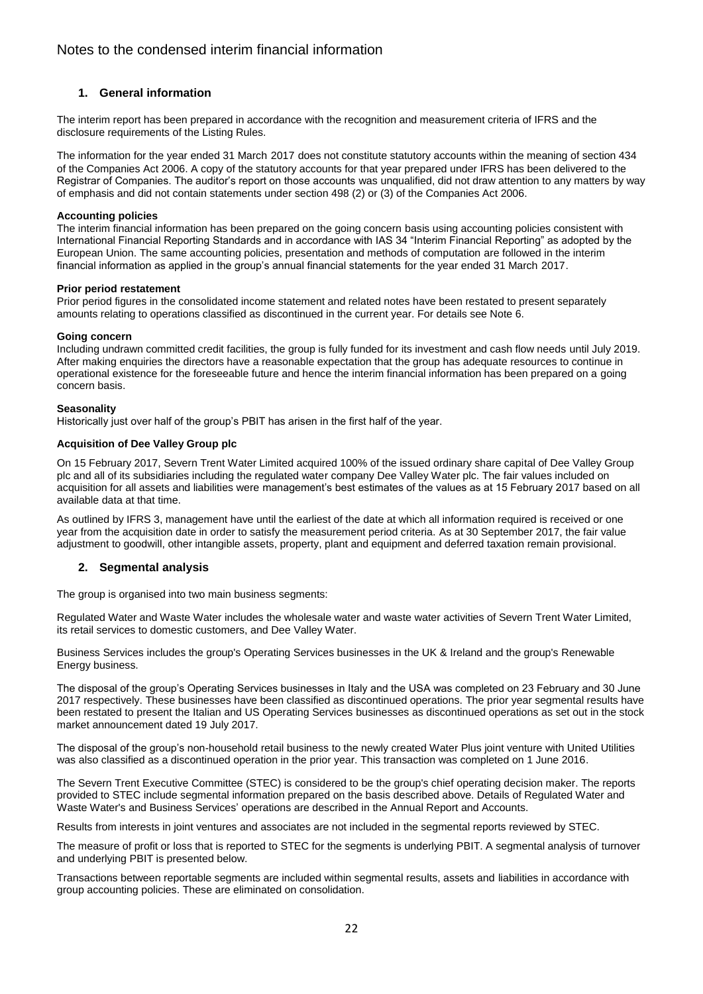### **1. General information**

The interim report has been prepared in accordance with the recognition and measurement criteria of IFRS and the disclosure requirements of the Listing Rules.

The information for the year ended 31 March 2017 does not constitute statutory accounts within the meaning of section 434 of the Companies Act 2006. A copy of the statutory accounts for that year prepared under IFRS has been delivered to the Registrar of Companies. The auditor's report on those accounts was unqualified, did not draw attention to any matters by way of emphasis and did not contain statements under section 498 (2) or (3) of the Companies Act 2006.

#### **Accounting policies**

The interim financial information has been prepared on the going concern basis using accounting policies consistent with International Financial Reporting Standards and in accordance with IAS 34 "Interim Financial Reporting" as adopted by the European Union. The same accounting policies, presentation and methods of computation are followed in the interim financial information as applied in the group's annual financial statements for the year ended 31 March 2017.

#### **Prior period restatement**

Prior period figures in the consolidated income statement and related notes have been restated to present separately amounts relating to operations classified as discontinued in the current year. For details see Note 6.

#### **Going concern**

Including undrawn committed credit facilities, the group is fully funded for its investment and cash flow needs until July 2019. After making enquiries the directors have a reasonable expectation that the group has adequate resources to continue in operational existence for the foreseeable future and hence the interim financial information has been prepared on a going concern basis.

#### **Seasonality**

Historically just over half of the group's PBIT has arisen in the first half of the year.

#### **Acquisition of Dee Valley Group plc**

On 15 February 2017, Severn Trent Water Limited acquired 100% of the issued ordinary share capital of Dee Valley Group plc and all of its subsidiaries including the regulated water company Dee Valley Water plc. The fair values included on acquisition for all assets and liabilities were management's best estimates of the values as at 15 February 2017 based on all available data at that time.

As outlined by IFRS 3, management have until the earliest of the date at which all information required is received or one year from the acquisition date in order to satisfy the measurement period criteria. As at 30 September 2017, the fair value adjustment to goodwill, other intangible assets, property, plant and equipment and deferred taxation remain provisional.

#### **2. Segmental analysis**

The group is organised into two main business segments:

Regulated Water and Waste Water includes the wholesale water and waste water activities of Severn Trent Water Limited, its retail services to domestic customers, and Dee Valley Water.

Business Services includes the group's Operating Services businesses in the UK & Ireland and the group's Renewable Energy business.

The disposal of the group's Operating Services businesses in Italy and the USA was completed on 23 February and 30 June 2017 respectively. These businesses have been classified as discontinued operations. The prior year segmental results have been restated to present the Italian and US Operating Services businesses as discontinued operations as set out in the stock market announcement dated 19 July 2017.

The disposal of the group's non-household retail business to the newly created Water Plus joint venture with United Utilities was also classified as a discontinued operation in the prior year. This transaction was completed on 1 June 2016.

The Severn Trent Executive Committee (STEC) is considered to be the group's chief operating decision maker. The reports provided to STEC include segmental information prepared on the basis described above. Details of Regulated Water and Waste Water's and Business Services' operations are described in the Annual Report and Accounts.

Results from interests in joint ventures and associates are not included in the segmental reports reviewed by STEC.

The measure of profit or loss that is reported to STEC for the segments is underlying PBIT. A segmental analysis of turnover and underlying PBIT is presented below.

Transactions between reportable segments are included within segmental results, assets and liabilities in accordance with group accounting policies. These are eliminated on consolidation.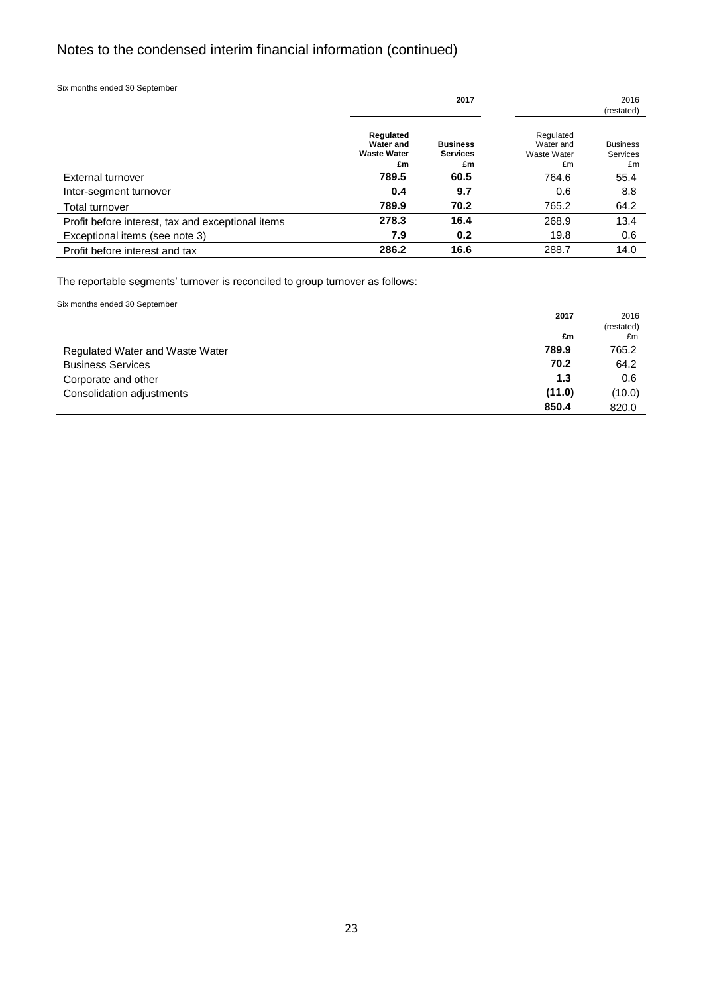# Notes to the condensed interim financial information (continued)

Six months ended 30 September

|                                                   |                                                    | 2017                                     |                                             | 2016                              |
|---------------------------------------------------|----------------------------------------------------|------------------------------------------|---------------------------------------------|-----------------------------------|
|                                                   |                                                    |                                          |                                             | (restated)                        |
|                                                   | Regulated<br>Water and<br><b>Waste Water</b><br>£m | <b>Business</b><br><b>Services</b><br>£m | Regulated<br>Water and<br>Waste Water<br>£m | <b>Business</b><br>Services<br>£m |
| External turnover                                 | 789.5                                              | 60.5                                     | 764.6                                       | 55.4                              |
| Inter-segment turnover                            | 0.4                                                | 9.7                                      | 0.6                                         | 8.8                               |
| Total turnover                                    | 789.9                                              | 70.2                                     | 765.2                                       | 64.2                              |
| Profit before interest, tax and exceptional items | 278.3                                              | 16.4                                     | 268.9                                       | 13.4                              |
| Exceptional items (see note 3)                    | 7.9                                                | 0.2                                      | 19.8                                        | 0.6                               |
| Profit before interest and tax                    | 286.2                                              | 16.6                                     | 288.7                                       | 14.0                              |

The reportable segments' turnover is reconciled to group turnover as follows:

Six months ended 30 September

|                                 | 2017   | 2016       |
|---------------------------------|--------|------------|
|                                 |        | (restated) |
|                                 | £m     | £m         |
| Regulated Water and Waste Water | 789.9  | 765.2      |
| <b>Business Services</b>        | 70.2   | 64.2       |
| Corporate and other             | 1.3    | 0.6        |
| Consolidation adjustments       | (11.0) | (10.0)     |
|                                 | 850.4  | 820.0      |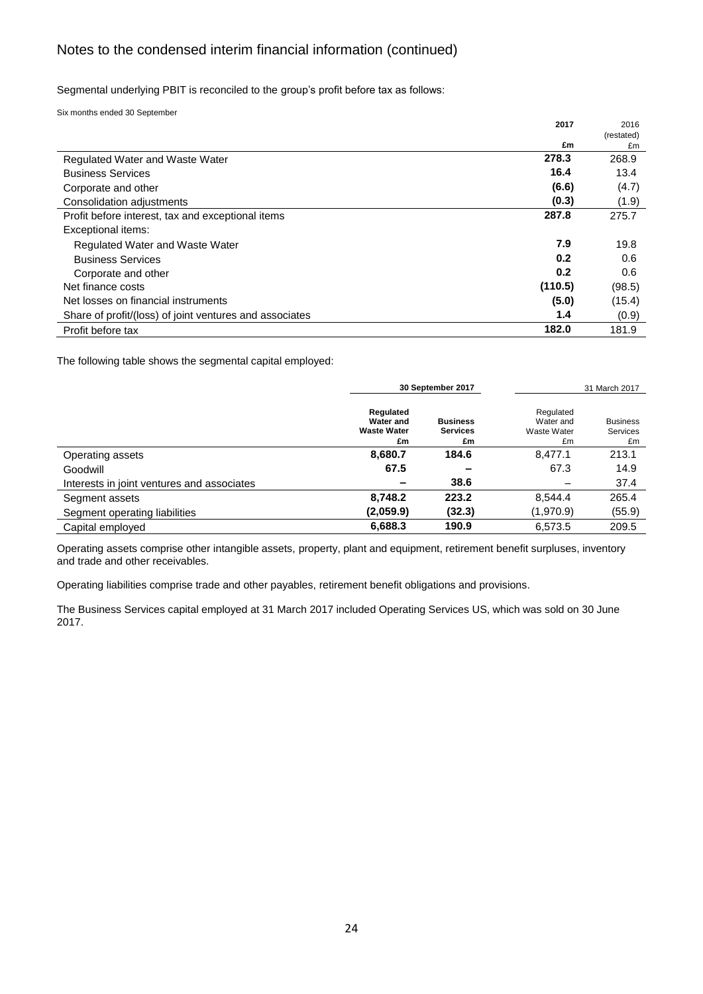# Notes to the condensed interim financial information (continued)

Segmental underlying PBIT is reconciled to the group's profit before tax as follows:

Six months ended 30 September

|                                                         | 2017    | 2016       |
|---------------------------------------------------------|---------|------------|
|                                                         |         | (restated) |
|                                                         | £m      | £m         |
| Regulated Water and Waste Water                         | 278.3   | 268.9      |
| <b>Business Services</b>                                | 16.4    | 13.4       |
| Corporate and other                                     | (6.6)   | (4.7)      |
| Consolidation adjustments                               | (0.3)   | (1.9)      |
| Profit before interest, tax and exceptional items       | 287.8   | 275.7      |
| Exceptional items:                                      |         |            |
| Regulated Water and Waste Water                         | 7.9     | 19.8       |
| <b>Business Services</b>                                | 0.2     | 0.6        |
| Corporate and other                                     | 0.2     | 0.6        |
| Net finance costs                                       | (110.5) | (98.5)     |
| Net losses on financial instruments                     | (5.0)   | (15.4)     |
| Share of profit/(loss) of joint ventures and associates | 1.4     | (0.9)      |
| Profit before tax                                       | 182.0   | 181.9      |

The following table shows the segmental capital employed:

|                                            | 30 September 2017                                  |                                          | 31 March 2017                               |                                   |  |
|--------------------------------------------|----------------------------------------------------|------------------------------------------|---------------------------------------------|-----------------------------------|--|
|                                            | Regulated<br>Water and<br><b>Waste Water</b><br>£m | <b>Business</b><br><b>Services</b><br>£m | Regulated<br>Water and<br>Waste Water<br>£m | <b>Business</b><br>Services<br>£m |  |
| Operating assets                           | 8,680.7                                            | 184.6                                    | 8.477.1                                     | 213.1                             |  |
| Goodwill                                   | 67.5                                               |                                          | 67.3                                        | 14.9                              |  |
| Interests in joint ventures and associates |                                                    | 38.6                                     |                                             | 37.4                              |  |
| Segment assets                             | 8,748.2                                            | 223.2                                    | 8.544.4                                     | 265.4                             |  |
| Segment operating liabilities              | (2,059.9)                                          | (32.3)                                   | (1,970.9)                                   | (55.9)                            |  |
| Capital employed                           | 6,688.3                                            | 190.9                                    | 6,573.5                                     | 209.5                             |  |

Operating assets comprise other intangible assets, property, plant and equipment, retirement benefit surpluses, inventory and trade and other receivables.

Operating liabilities comprise trade and other payables, retirement benefit obligations and provisions.

The Business Services capital employed at 31 March 2017 included Operating Services US, which was sold on 30 June 2017.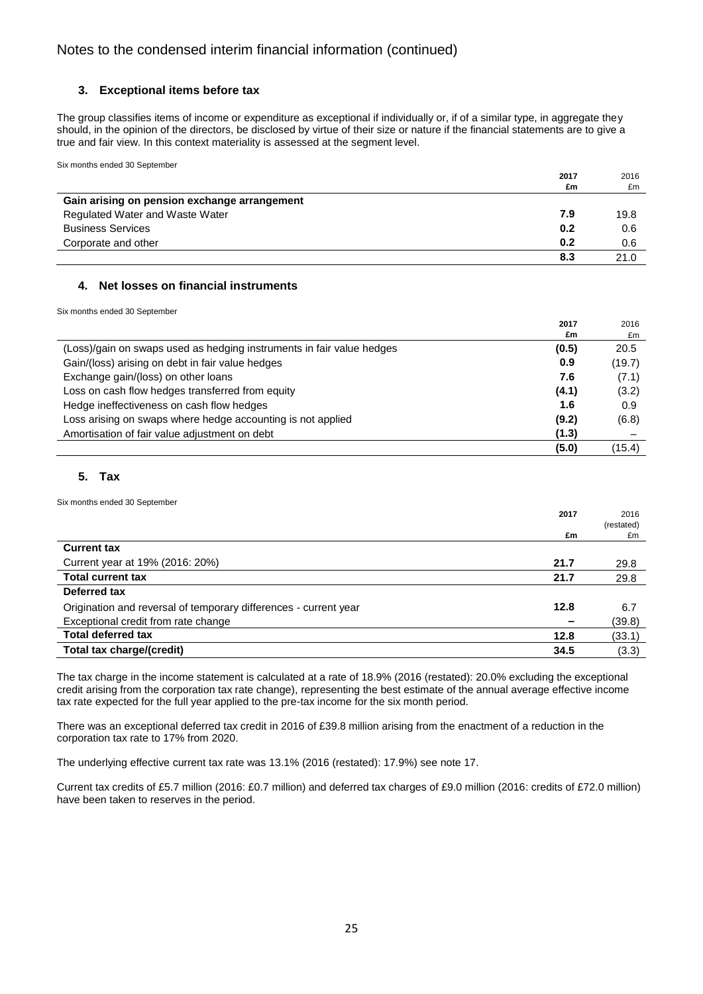### **3. Exceptional items before tax**

The group classifies items of income or expenditure as exceptional if individually or, if of a similar type, in aggregate they should, in the opinion of the directors, be disclosed by virtue of their size or nature if the financial statements are to give a true and fair view. In this context materiality is assessed at the segment level.

Six months ended 30 September

|                                              | 2017 | 2016 |
|----------------------------------------------|------|------|
|                                              | £m   | £m   |
| Gain arising on pension exchange arrangement |      |      |
| Regulated Water and Waste Water              | 7.9  | 19.8 |
| <b>Business Services</b>                     | 0.2  | 0.6  |
| Corporate and other                          | 0.2  | 0.6  |
|                                              | 8.3  | 21.0 |

### **4. Net losses on financial instruments**

Six months ended 30 September

|                                                                       | 2017  | 2016   |
|-----------------------------------------------------------------------|-------|--------|
|                                                                       | £m    | £m     |
| (Loss)/gain on swaps used as hedging instruments in fair value hedges | (0.5) | 20.5   |
| Gain/(loss) arising on debt in fair value hedges                      | 0.9   | (19.7) |
| Exchange gain/(loss) on other loans                                   | 7.6   | (7.1)  |
| Loss on cash flow hedges transferred from equity                      | (4.1) | (3.2)  |
| Hedge ineffectiveness on cash flow hedges                             | 1.6   | 0.9    |
| Loss arising on swaps where hedge accounting is not applied           | (9.2) | (6.8)  |
| Amortisation of fair value adjustment on debt                         | (1.3) |        |
|                                                                       | (5.0) | (15.4) |

### **5. Tax**

Six months ended 30 September

|                                                                  | 2017 | 2016       |
|------------------------------------------------------------------|------|------------|
|                                                                  |      | (restated) |
|                                                                  | £m   | £m         |
| <b>Current tax</b>                                               |      |            |
| Current year at 19% (2016: 20%)                                  | 21.7 | 29.8       |
| <b>Total current tax</b>                                         | 21.7 | 29.8       |
| Deferred tax                                                     |      |            |
| Origination and reversal of temporary differences - current year | 12.8 | 6.7        |
| Exceptional credit from rate change                              |      | (39.8)     |
| <b>Total deferred tax</b>                                        | 12.8 | (33.1)     |
| Total tax charge/(credit)                                        | 34.5 | (3.3)      |

The tax charge in the income statement is calculated at a rate of 18.9% (2016 (restated): 20.0% excluding the exceptional credit arising from the corporation tax rate change), representing the best estimate of the annual average effective income tax rate expected for the full year applied to the pre-tax income for the six month period.

There was an exceptional deferred tax credit in 2016 of £39.8 million arising from the enactment of a reduction in the corporation tax rate to 17% from 2020.

The underlying effective current tax rate was 13.1% (2016 (restated): 17.9%) see note 17.

Current tax credits of £5.7 million (2016: £0.7 million) and deferred tax charges of £9.0 million (2016: credits of £72.0 million) have been taken to reserves in the period.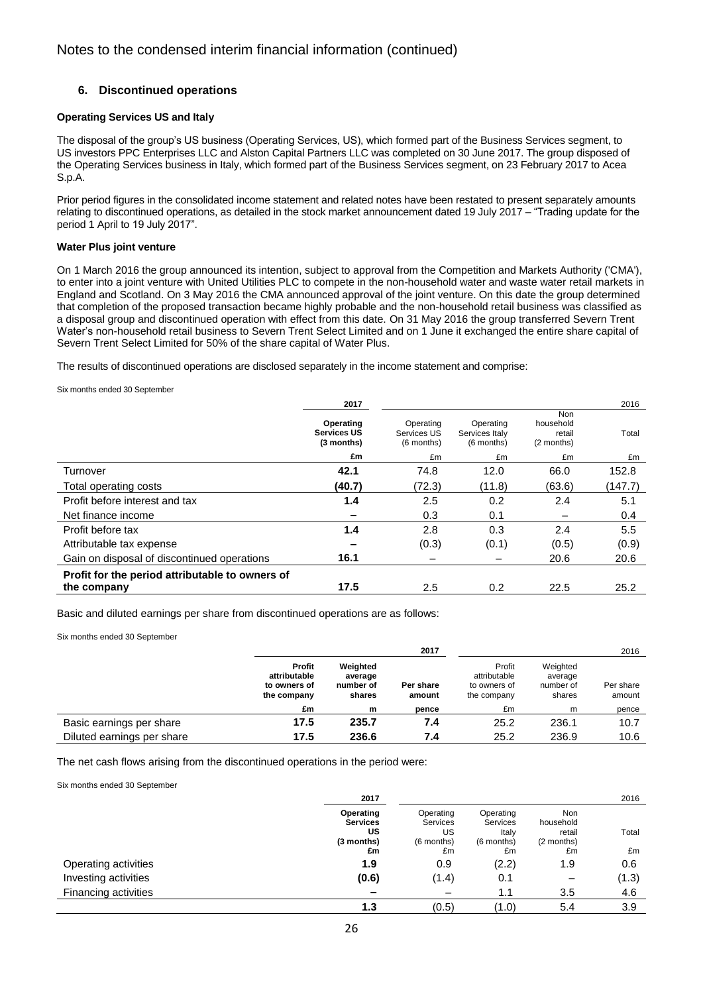### **6. Discontinued operations**

#### **Operating Services US and Italy**

The disposal of the group's US business (Operating Services, US), which formed part of the Business Services segment, to US investors PPC Enterprises LLC and Alston Capital Partners LLC was completed on 30 June 2017. The group disposed of the Operating Services business in Italy, which formed part of the Business Services segment, on 23 February 2017 to Acea S.p.A.

Prior period figures in the consolidated income statement and related notes have been restated to present separately amounts relating to discontinued operations, as detailed in the stock market announcement dated 19 July 2017 – "Trading update for the period 1 April to 19 July 2017".

#### **Water Plus joint venture**

On 1 March 2016 the group announced its intention, subject to approval from the Competition and Markets Authority ('CMA'), to enter into a joint venture with United Utilities PLC to compete in the non-household water and waste water retail markets in England and Scotland. On 3 May 2016 the CMA announced approval of the joint venture. On this date the group determined that completion of the proposed transaction became highly probable and the non-household retail business was classified as a disposal group and discontinued operation with effect from this date. On 31 May 2016 the group transferred Severn Trent Water's non-household retail business to Severn Trent Select Limited and on 1 June it exchanged the entire share capital of Severn Trent Select Limited for 50% of the share capital of Water Plus.

The results of discontinued operations are disclosed separately in the income statement and comprise:

Six months ended 30 September

|                                                 | 2017                                          |                                        |                                           |                                                 | 2016    |
|-------------------------------------------------|-----------------------------------------------|----------------------------------------|-------------------------------------------|-------------------------------------------------|---------|
|                                                 | Operating<br><b>Services US</b><br>(3 months) | Operating<br>Services US<br>(6 months) | Operating<br>Services Italy<br>(6 months) | <b>Non</b><br>household<br>retail<br>(2 months) | Total   |
|                                                 | £m                                            | £m                                     | £m                                        | £m                                              | £m      |
| Turnover                                        | 42.1                                          | 74.8                                   | 12.0                                      | 66.0                                            | 152.8   |
| Total operating costs                           | (40.7)                                        | (72.3)                                 | (11.8)                                    | (63.6)                                          | (147.7) |
| Profit before interest and tax                  | 1.4                                           | 2.5                                    | 0.2                                       | 2.4                                             | 5.1     |
| Net finance income                              |                                               | 0.3                                    | 0.1                                       |                                                 | 0.4     |
| Profit before tax                               | 1.4                                           | 2.8                                    | 0.3                                       | 2.4                                             | 5.5     |
| Attributable tax expense                        |                                               | (0.3)                                  | (0.1)                                     | (0.5)                                           | (0.9)   |
| Gain on disposal of discontinued operations     | 16.1                                          |                                        |                                           | 20.6                                            | 20.6    |
| Profit for the period attributable to owners of |                                               |                                        |                                           |                                                 |         |
| the company                                     | 17.5                                          | $2.5\,$                                | 0.2                                       | 22.5                                            | 25.2    |

Basic and diluted earnings per share from discontinued operations are as follows:

Six months ended 30 September

|                            |                                                       |                                            | 2017                |                                                       |                                            | 2016                |
|----------------------------|-------------------------------------------------------|--------------------------------------------|---------------------|-------------------------------------------------------|--------------------------------------------|---------------------|
|                            | Profit<br>attributable<br>to owners of<br>the company | Weighted<br>average<br>number of<br>shares | Per share<br>amount | Profit<br>attributable<br>to owners of<br>the company | Weighted<br>average<br>number of<br>shares | Per share<br>amount |
|                            | £m                                                    | m                                          | pence               | £m                                                    | m                                          | pence               |
| Basic earnings per share   | 17.5                                                  | 235.7                                      | 7.4                 | 25.2                                                  | 236.1                                      | 10.7                |
| Diluted earnings per share | 17.5                                                  | 236.6                                      | 7.4                 | 25.2                                                  | 236.9                                      | 10.6                |

The net cash flows arising from the discontinued operations in the period were:

Six months ended 30 September

|                      | 2017            |                 |                 |            | 2016  |
|----------------------|-----------------|-----------------|-----------------|------------|-------|
|                      | Operating       | Operating       | Operating       | <b>Non</b> |       |
|                      | <b>Services</b> | <b>Services</b> | <b>Services</b> | household  |       |
|                      | US              | US              | Italy           | retail     | Total |
|                      | (3 months)      | (6 months)      | (6 months)      | (2 months) |       |
|                      | £m              | £m              | £m              | £m         | £m    |
| Operating activities | 1.9             | 0.9             | (2.2)           | 1.9        | 0.6   |
| Investing activities | (0.6)           | (1.4)           | 0.1             |            | (1.3) |
| Financing activities | -               |                 | 1.1             | 3.5        | 4.6   |
|                      | 1.3             | (0.5)           | (1.0)           | 5.4        | 3.9   |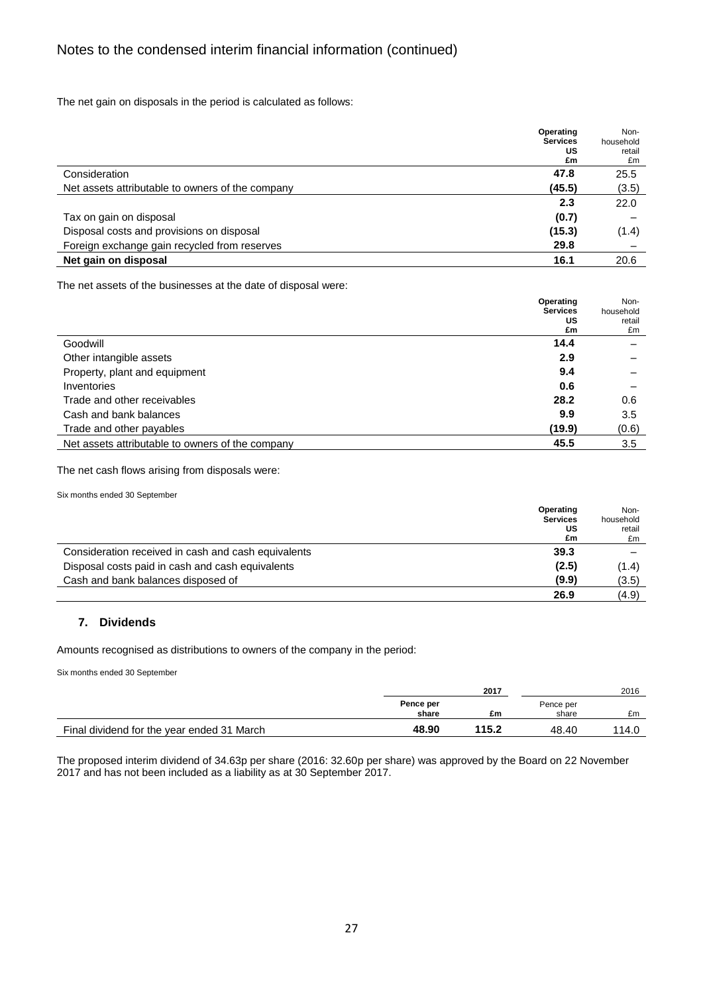The net gain on disposals in the period is calculated as follows:

|                                                  | Operating<br><b>Services</b><br>บร<br>£m | Non-<br>household<br>retail<br>£m |
|--------------------------------------------------|------------------------------------------|-----------------------------------|
| Consideration                                    | 47.8                                     | 25.5                              |
| Net assets attributable to owners of the company | (45.5)                                   | (3.5)                             |
|                                                  | 2.3                                      | 22.0                              |
| Tax on gain on disposal                          | (0.7)                                    |                                   |
| Disposal costs and provisions on disposal        | (15.3)                                   | (1.4)                             |
| Foreign exchange gain recycled from reserves     | 29.8                                     |                                   |
| Net gain on disposal                             | 16.1                                     | 20.6                              |

The net assets of the businesses at the date of disposal were:

|                                                  | Operating       | Non-      |
|--------------------------------------------------|-----------------|-----------|
|                                                  | <b>Services</b> | household |
|                                                  | US              | retail    |
|                                                  | £m              | £m        |
| Goodwill                                         | 14.4            |           |
| Other intangible assets                          | 2.9             |           |
| Property, plant and equipment                    | 9.4             |           |
| Inventories                                      | 0.6             |           |
| Trade and other receivables                      | 28.2            | 0.6       |
| Cash and bank balances                           | 9.9             | 3.5       |
| Trade and other payables                         | (19.9)          | (0.6)     |
| Net assets attributable to owners of the company | 45.5            | 3.5       |

The net cash flows arising from disposals were:

Six months ended 30 September

|                                                     | Operating       | Non-      |
|-----------------------------------------------------|-----------------|-----------|
|                                                     | <b>Services</b> | household |
|                                                     | US              | retail    |
|                                                     | £m              | £m        |
| Consideration received in cash and cash equivalents | 39.3            |           |
| Disposal costs paid in cash and cash equivalents    | (2.5)           | (1.4)     |
| Cash and bank balances disposed of                  | (9.9)           | (3.5)     |
|                                                     | 26.9            | (4.9)     |

### **7. Dividends**

Amounts recognised as distributions to owners of the company in the period:

Six months ended 30 September

|                                            | 2017      |       |           | 2016  |
|--------------------------------------------|-----------|-------|-----------|-------|
|                                            | Pence per |       | Pence per |       |
|                                            | share     | £m    | share     | £m    |
| Final dividend for the year ended 31 March | 48.90     | 115.2 | 48.40     | 114.0 |

The proposed interim dividend of 34.63p per share (2016: 32.60p per share) was approved by the Board on 22 November 2017 and has not been included as a liability as at 30 September 2017.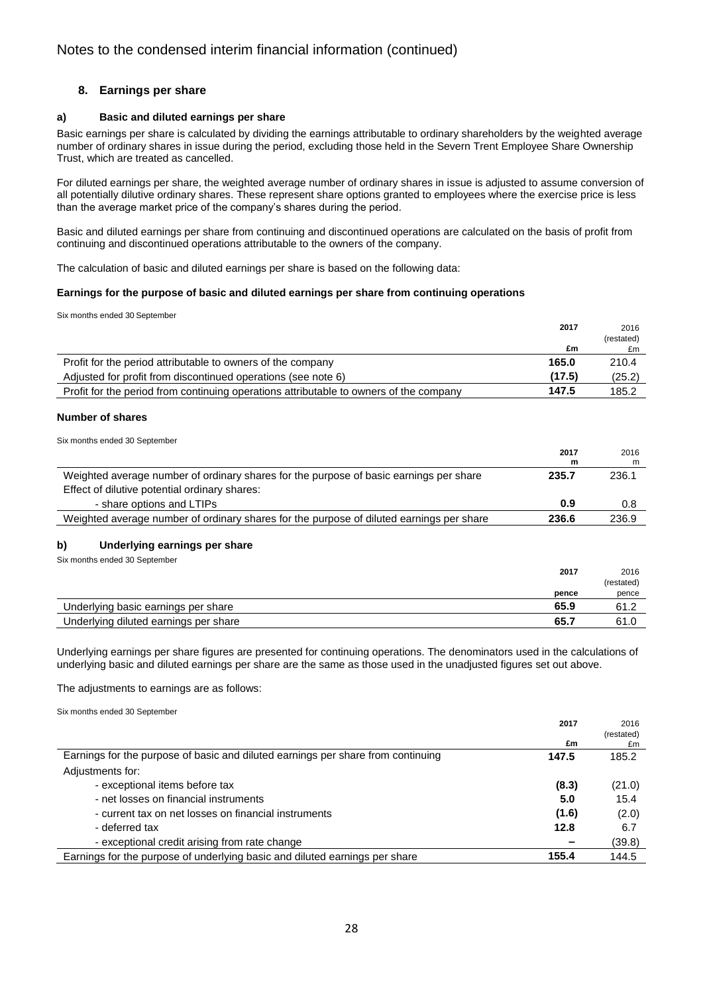### **8. Earnings per share**

#### **a) Basic and diluted earnings per share**

Basic earnings per share is calculated by dividing the earnings attributable to ordinary shareholders by the weighted average number of ordinary shares in issue during the period, excluding those held in the Severn Trent Employee Share Ownership Trust, which are treated as cancelled.

For diluted earnings per share, the weighted average number of ordinary shares in issue is adjusted to assume conversion of all potentially dilutive ordinary shares. These represent share options granted to employees where the exercise price is less than the average market price of the company's shares during the period.

Basic and diluted earnings per share from continuing and discontinued operations are calculated on the basis of profit from continuing and discontinued operations attributable to the owners of the company.

The calculation of basic and diluted earnings per share is based on the following data:

#### **Earnings for the purpose of basic and diluted earnings per share from continuing operations**

| Six months ended 30 September                                                          |        |            |
|----------------------------------------------------------------------------------------|--------|------------|
|                                                                                        | 2017   | 2016       |
|                                                                                        |        | (restated) |
|                                                                                        | £m     | £m         |
| Profit for the period attributable to owners of the company                            | 165.0  | 210.4      |
| Adjusted for profit from discontinued operations (see note 6)                          | (17.5) | (25.2)     |
| Profit for the period from continuing operations attributable to owners of the company | 147.5  | 185.2      |

#### **Number of shares**

#### Six months ended 30 September

|                                                                                          | 2017  | 2016  |
|------------------------------------------------------------------------------------------|-------|-------|
|                                                                                          | m     | m     |
| Weighted average number of ordinary shares for the purpose of basic earnings per share   | 235.7 | 236.1 |
| Effect of dilutive potential ordinary shares:                                            |       |       |
| - share options and LTIPs                                                                | 0.9   | 0.8   |
| Weighted average number of ordinary shares for the purpose of diluted earnings per share | 236.6 | 236.9 |
|                                                                                          |       |       |

#### **b) Underlying earnings per share**

Six months ended 30 September

|                                       | 2017  | 2016       |
|---------------------------------------|-------|------------|
|                                       |       | (restated) |
|                                       | pence | pence      |
| Underlying basic earnings per share   | 65.9  | 61.2       |
| Underlying diluted earnings per share | 65.7  | 61.0       |

Underlying earnings per share figures are presented for continuing operations. The denominators used in the calculations of underlying basic and diluted earnings per share are the same as those used in the unadjusted figures set out above.

The adjustments to earnings are as follows:

Six months ended 30 September

|                                                                                  | 2017  | 2016       |
|----------------------------------------------------------------------------------|-------|------------|
|                                                                                  |       | (restated) |
|                                                                                  | £m    | £m         |
| Earnings for the purpose of basic and diluted earnings per share from continuing | 147.5 | 185.2      |
| Adjustments for:                                                                 |       |            |
| - exceptional items before tax                                                   | (8.3) | (21.0)     |
| - net losses on financial instruments                                            | 5.0   | 15.4       |
| - current tax on net losses on financial instruments                             | (1.6) | (2.0)      |
| - deferred tax                                                                   | 12.8  | 6.7        |
| - exceptional credit arising from rate change                                    |       | (39.8)     |
| Earnings for the purpose of underlying basic and diluted earnings per share      | 155.4 | 144.5      |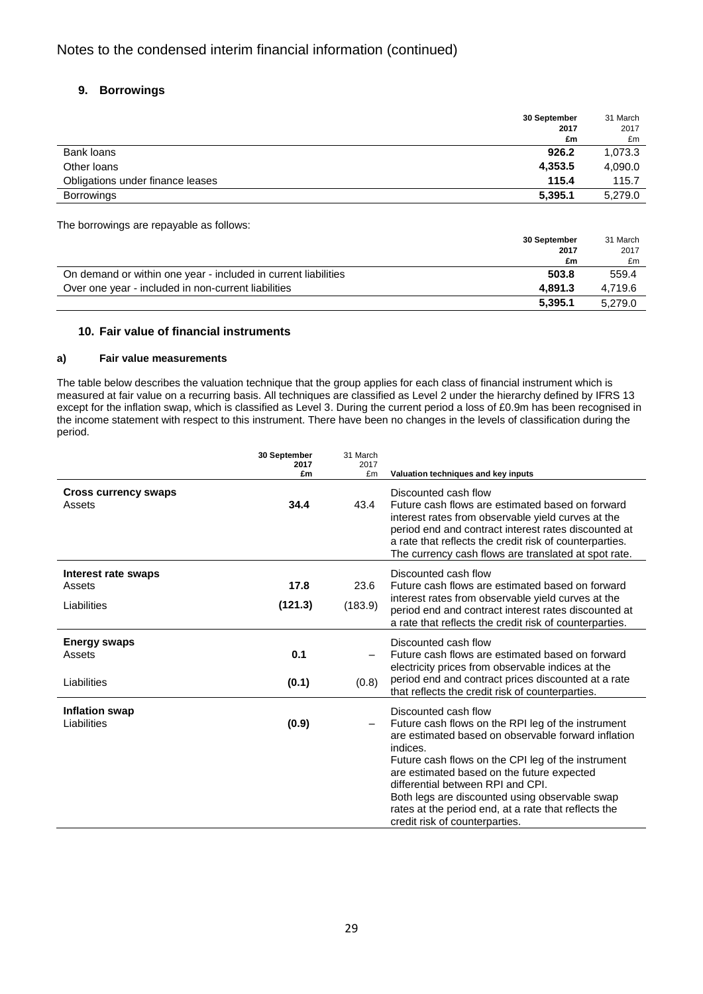# Notes to the condensed interim financial information (continued)

### **9. Borrowings**

|                                  | 30 September | 31 March |
|----------------------------------|--------------|----------|
|                                  | 2017         | 2017     |
|                                  | £m           | £m       |
| Bank loans                       | 926.2        | 1,073.3  |
| Other Ioans                      | 4,353.5      | 4,090.0  |
| Obligations under finance leases | 115.4        | 115.7    |
| <b>Borrowings</b>                | 5,395.1      | 5,279.0  |

The borrowings are repayable as follows:

|                                                                | 30 September | 31 March |
|----------------------------------------------------------------|--------------|----------|
|                                                                | 2017         | 2017     |
|                                                                | £m           | £m       |
| On demand or within one year - included in current liabilities | 503.8        | 559.4    |
| Over one year - included in non-current liabilities            | 4.891.3      | 4.719.6  |
|                                                                | 5.395.1      | 5.279.0  |

#### **10. Fair value of financial instruments**

#### **a) Fair value measurements**

The table below describes the valuation technique that the group applies for each class of financial instrument which is measured at fair value on a recurring basis. All techniques are classified as Level 2 under the hierarchy defined by IFRS 13 except for the inflation swap, which is classified as Level 3. During the current period a loss of £0.9m has been recognised in the income statement with respect to this instrument. There have been no changes in the levels of classification during the period.

| 30 September<br>2017 | 31 March |                                                                                                                                                                                                                                                                                                                                                                                                                                    |
|----------------------|----------|------------------------------------------------------------------------------------------------------------------------------------------------------------------------------------------------------------------------------------------------------------------------------------------------------------------------------------------------------------------------------------------------------------------------------------|
| £m                   | £m       | Valuation techniques and key inputs                                                                                                                                                                                                                                                                                                                                                                                                |
| 34.4                 | 43.4     | Discounted cash flow<br>Future cash flows are estimated based on forward<br>interest rates from observable yield curves at the<br>period end and contract interest rates discounted at<br>a rate that reflects the credit risk of counterparties.<br>The currency cash flows are translated at spot rate.                                                                                                                          |
|                      |          | Discounted cash flow<br>Future cash flows are estimated based on forward                                                                                                                                                                                                                                                                                                                                                           |
|                      |          | interest rates from observable yield curves at the                                                                                                                                                                                                                                                                                                                                                                                 |
| (121.3)              | (183.9)  | period end and contract interest rates discounted at<br>a rate that reflects the credit risk of counterparties.                                                                                                                                                                                                                                                                                                                    |
|                      |          | Discounted cash flow                                                                                                                                                                                                                                                                                                                                                                                                               |
| 0.1                  |          | Future cash flows are estimated based on forward<br>electricity prices from observable indices at the                                                                                                                                                                                                                                                                                                                              |
| (0.1)                | (0.8)    | period end and contract prices discounted at a rate<br>that reflects the credit risk of counterparties.                                                                                                                                                                                                                                                                                                                            |
| (0.9)                |          | Discounted cash flow<br>Future cash flows on the RPI leg of the instrument<br>are estimated based on observable forward inflation<br>indices.<br>Future cash flows on the CPI leg of the instrument<br>are estimated based on the future expected<br>differential between RPI and CPI.<br>Both legs are discounted using observable swap<br>rates at the period end, at a rate that reflects the<br>credit risk of counterparties. |
|                      | 17.8     | 2017<br>23.6                                                                                                                                                                                                                                                                                                                                                                                                                       |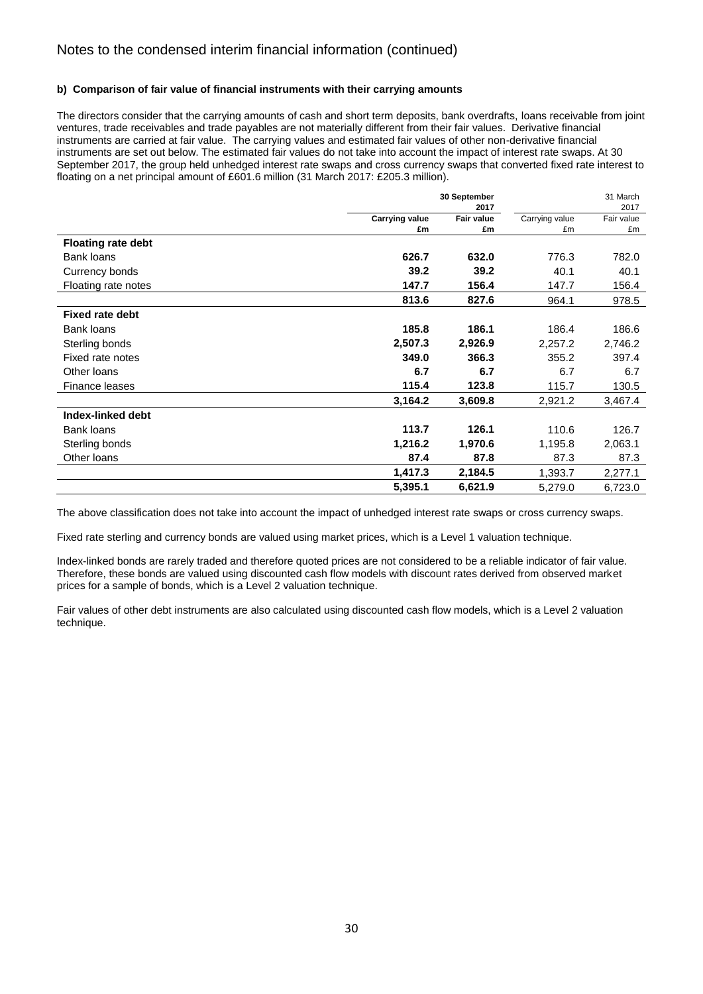#### **b) Comparison of fair value of financial instruments with their carrying amounts**

The directors consider that the carrying amounts of cash and short term deposits, bank overdrafts, loans receivable from joint ventures, trade receivables and trade payables are not materially different from their fair values. Derivative financial instruments are carried at fair value. The carrying values and estimated fair values of other non-derivative financial instruments are set out below. The estimated fair values do not take into account the impact of interest rate swaps. At 30 September 2017, the group held unhedged interest rate swaps and cross currency swaps that converted fixed rate interest to floating on a net principal amount of £601.6 million (31 March 2017: £205.3 million).

|                           |                       | 30 September |                | 31 March   |
|---------------------------|-----------------------|--------------|----------------|------------|
|                           |                       | 2017         |                | 2017       |
|                           | <b>Carrying value</b> | Fair value   | Carrying value | Fair value |
|                           | £m                    | £m           | £m             | £m         |
| <b>Floating rate debt</b> |                       |              |                |            |
| Bank loans                | 626.7                 | 632.0        | 776.3          | 782.0      |
| Currency bonds            | 39.2                  | 39.2         | 40.1           | 40.1       |
| Floating rate notes       | 147.7                 | 156.4        | 147.7          | 156.4      |
|                           | 813.6                 | 827.6        | 964.1          | 978.5      |
| <b>Fixed rate debt</b>    |                       |              |                |            |
| Bank loans                | 185.8                 | 186.1        | 186.4          | 186.6      |
| Sterling bonds            | 2,507.3               | 2,926.9      | 2,257.2        | 2,746.2    |
| Fixed rate notes          | 349.0                 | 366.3        | 355.2          | 397.4      |
| Other Ioans               | 6.7                   | 6.7          | 6.7            | 6.7        |
| <b>Finance leases</b>     | 115.4                 | 123.8        | 115.7          | 130.5      |
|                           | 3,164.2               | 3,609.8      | 2,921.2        | 3,467.4    |
| Index-linked debt         |                       |              |                |            |
| Bank loans                | 113.7                 | 126.1        | 110.6          | 126.7      |
| Sterling bonds            | 1,216.2               | 1,970.6      | 1,195.8        | 2,063.1    |
| Other Ioans               | 87.4                  | 87.8         | 87.3           | 87.3       |
|                           | 1,417.3               | 2,184.5      | 1,393.7        | 2,277.1    |
|                           | 5,395.1               | 6,621.9      | 5,279.0        | 6,723.0    |

The above classification does not take into account the impact of unhedged interest rate swaps or cross currency swaps.

Fixed rate sterling and currency bonds are valued using market prices, which is a Level 1 valuation technique.

Index-linked bonds are rarely traded and therefore quoted prices are not considered to be a reliable indicator of fair value. Therefore, these bonds are valued using discounted cash flow models with discount rates derived from observed market prices for a sample of bonds, which is a Level 2 valuation technique.

Fair values of other debt instruments are also calculated using discounted cash flow models, which is a Level 2 valuation technique.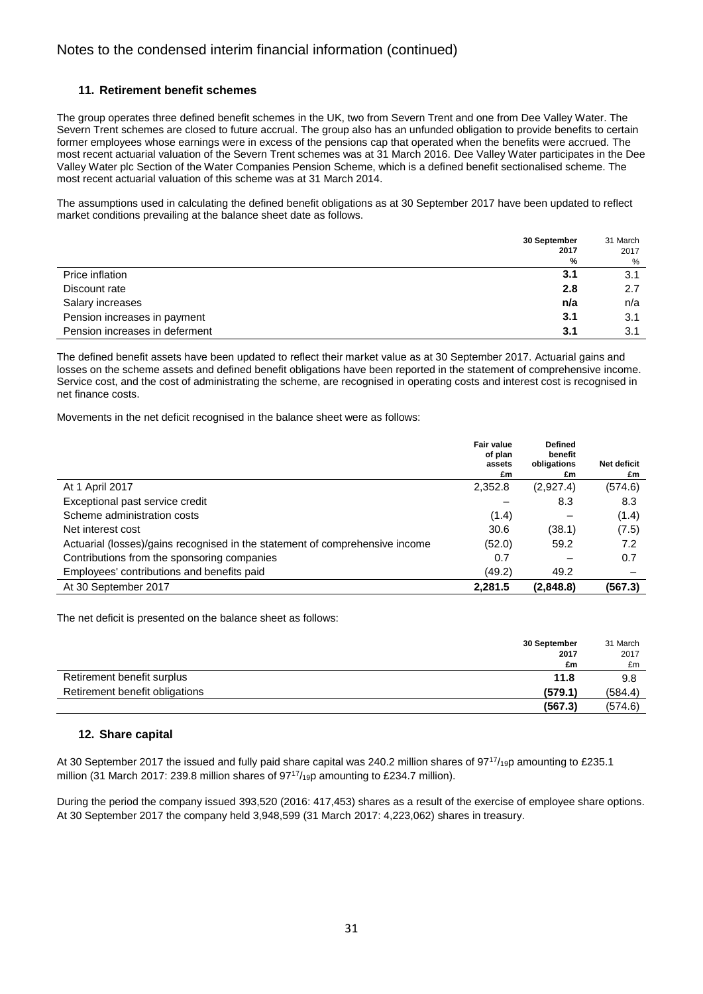#### **11. Retirement benefit schemes**

The group operates three defined benefit schemes in the UK, two from Severn Trent and one from Dee Valley Water. The Severn Trent schemes are closed to future accrual. The group also has an unfunded obligation to provide benefits to certain former employees whose earnings were in excess of the pensions cap that operated when the benefits were accrued. The most recent actuarial valuation of the Severn Trent schemes was at 31 March 2016. Dee Valley Water participates in the Dee Valley Water plc Section of the Water Companies Pension Scheme, which is a defined benefit sectionalised scheme. The most recent actuarial valuation of this scheme was at 31 March 2014.

The assumptions used in calculating the defined benefit obligations as at 30 September 2017 have been updated to reflect market conditions prevailing at the balance sheet date as follows.

|                                | 30 September<br>2017<br>% | 31 March<br>2017 |
|--------------------------------|---------------------------|------------------|
|                                |                           | %                |
| Price inflation                | 3.1                       | 3.1              |
| Discount rate                  | 2.8                       | 2.7              |
| Salary increases               | n/a                       | n/a              |
| Pension increases in payment   | 3.1                       | 3.1              |
| Pension increases in deferment | 3.1                       | 3.1              |

The defined benefit assets have been updated to reflect their market value as at 30 September 2017. Actuarial gains and losses on the scheme assets and defined benefit obligations have been reported in the statement of comprehensive income. Service cost, and the cost of administrating the scheme, are recognised in operating costs and interest cost is recognised in net finance costs.

Movements in the net deficit recognised in the balance sheet were as follows:

|                                                                              | <b>Fair value</b><br>of plan<br>assets<br>£m | <b>Defined</b><br>benefit<br>obligations<br>£m | <b>Net deficit</b><br>£m |
|------------------------------------------------------------------------------|----------------------------------------------|------------------------------------------------|--------------------------|
| At 1 April 2017                                                              | 2,352.8                                      | (2,927.4)                                      | (574.6)                  |
| Exceptional past service credit                                              |                                              | 8.3                                            | 8.3                      |
| Scheme administration costs                                                  | (1.4)                                        |                                                | (1.4)                    |
| Net interest cost                                                            | 30.6                                         | (38.1)                                         | (7.5)                    |
| Actuarial (losses)/gains recognised in the statement of comprehensive income | (52.0)                                       | 59.2                                           | 7.2                      |
| Contributions from the sponsoring companies                                  | 0.7                                          |                                                | 0.7                      |
| Employees' contributions and benefits paid                                   | (49.2)                                       | 49.2                                           |                          |
| At 30 September 2017                                                         | 2,281.5                                      | (2,848.8)                                      | (567.3)                  |

The net deficit is presented on the balance sheet as follows:

|                                | 30 September | 31 March |
|--------------------------------|--------------|----------|
|                                | 2017         | 2017     |
|                                | £m           | £m       |
| Retirement benefit surplus     | 11.8         | 9.8      |
| Retirement benefit obligations | (579.1)      | (584.4)  |
|                                | (567.3)      | (574.6)  |

#### **12. Share capital**

At 30 September 2017 the issued and fully paid share capital was 240.2 million shares of 97<sup>17</sup>/<sub>19</sub>p amounting to £235.1 million (31 March 2017: 239.8 million shares of  $97^{17}/_{19}$  amounting to £234.7 million).

During the period the company issued 393,520 (2016: 417,453) shares as a result of the exercise of employee share options. At 30 September 2017 the company held 3,948,599 (31 March 2017: 4,223,062) shares in treasury.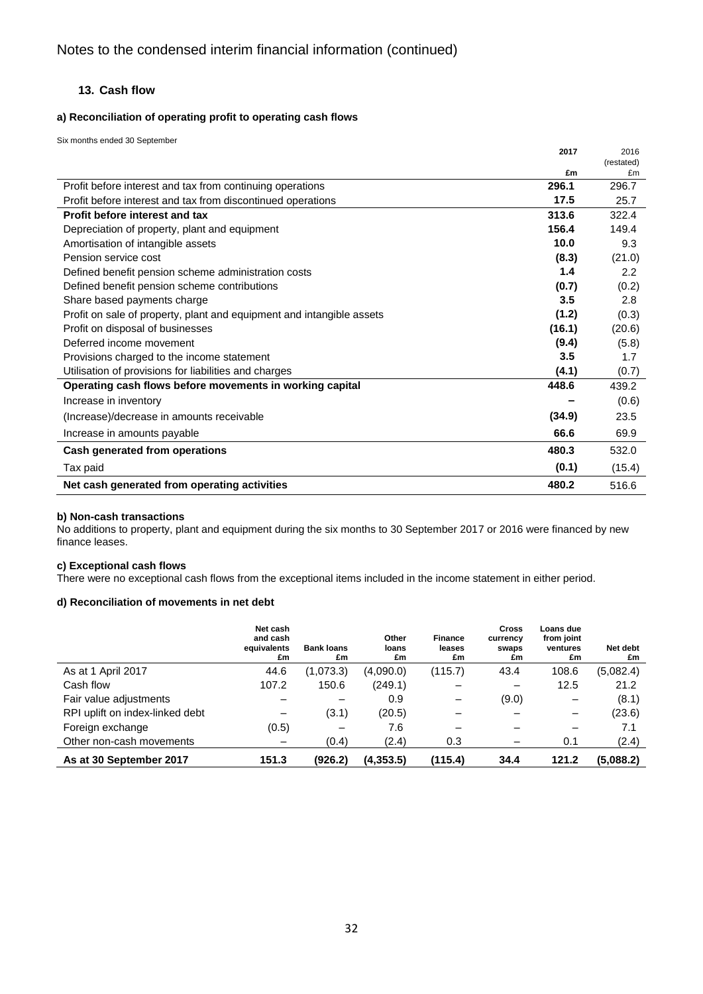### **13. Cash flow**

### **a) Reconciliation of operating profit to operating cash flows**

Six months ended 30 September

|                                                                       | 2017   | 2016       |
|-----------------------------------------------------------------------|--------|------------|
|                                                                       |        | (restated) |
|                                                                       | £m     | £m         |
| Profit before interest and tax from continuing operations             | 296.1  | 296.7      |
| Profit before interest and tax from discontinued operations           | 17.5   | 25.7       |
| Profit before interest and tax                                        | 313.6  | 322.4      |
| Depreciation of property, plant and equipment                         | 156.4  | 149.4      |
| Amortisation of intangible assets                                     | 10.0   | 9.3        |
| Pension service cost                                                  | (8.3)  | (21.0)     |
| Defined benefit pension scheme administration costs                   | 1.4    | 2.2        |
| Defined benefit pension scheme contributions                          | (0.7)  | (0.2)      |
| Share based payments charge                                           | 3.5    | 2.8        |
| Profit on sale of property, plant and equipment and intangible assets | (1.2)  | (0.3)      |
| Profit on disposal of businesses                                      | (16.1) | (20.6)     |
| Deferred income movement                                              | (9.4)  | (5.8)      |
| Provisions charged to the income statement                            | 3.5    | 1.7        |
| Utilisation of provisions for liabilities and charges                 | (4.1)  | (0.7)      |
| Operating cash flows before movements in working capital              | 448.6  | 439.2      |
| Increase in inventory                                                 |        | (0.6)      |
| (Increase)/decrease in amounts receivable                             | (34.9) | 23.5       |
| Increase in amounts payable                                           | 66.6   | 69.9       |
| Cash generated from operations                                        | 480.3  | 532.0      |
| Tax paid                                                              | (0.1)  | (15.4)     |
| Net cash generated from operating activities                          | 480.2  | 516.6      |

#### **b) Non-cash transactions**

No additions to property, plant and equipment during the six months to 30 September 2017 or 2016 were financed by new finance leases.

#### **c) Exceptional cash flows**

There were no exceptional cash flows from the exceptional items included in the income statement in either period.

#### **d) Reconciliation of movements in net debt**

|                                 | Net cash<br>and cash<br>equivalents<br>£m | <b>Bank loans</b><br>£m | Other<br>loans<br>£m | <b>Finance</b><br>leases<br>£m | <b>Cross</b><br>currency<br>swaps<br>£m | Loans due<br>from joint<br>ventures<br>£m | Net debt<br>£m |
|---------------------------------|-------------------------------------------|-------------------------|----------------------|--------------------------------|-----------------------------------------|-------------------------------------------|----------------|
| As at 1 April 2017              | 44.6                                      | (1,073.3)               | (4,090.0)            | (115.7)                        | 43.4                                    | 108.6                                     | (5,082.4)      |
| Cash flow                       | 107.2                                     | 150.6                   | (249.1)              |                                |                                         | 12.5                                      | 21.2           |
| Fair value adjustments          |                                           |                         | 0.9                  |                                | (9.0)                                   |                                           | (8.1)          |
| RPI uplift on index-linked debt | -                                         | (3.1)                   | (20.5)               |                                |                                         |                                           | (23.6)         |
| Foreign exchange                | (0.5)                                     | —                       | 7.6                  |                                |                                         |                                           | 7.1            |
| Other non-cash movements        | $\overline{\phantom{m}}$                  | (0.4)                   | (2.4)                | 0.3                            | -                                       | 0.1                                       | (2.4)          |
| As at 30 September 2017         | 151.3                                     | (926.2)                 | (4,353.5)            | (115.4)                        | 34.4                                    | 121.2                                     | (5,088.2)      |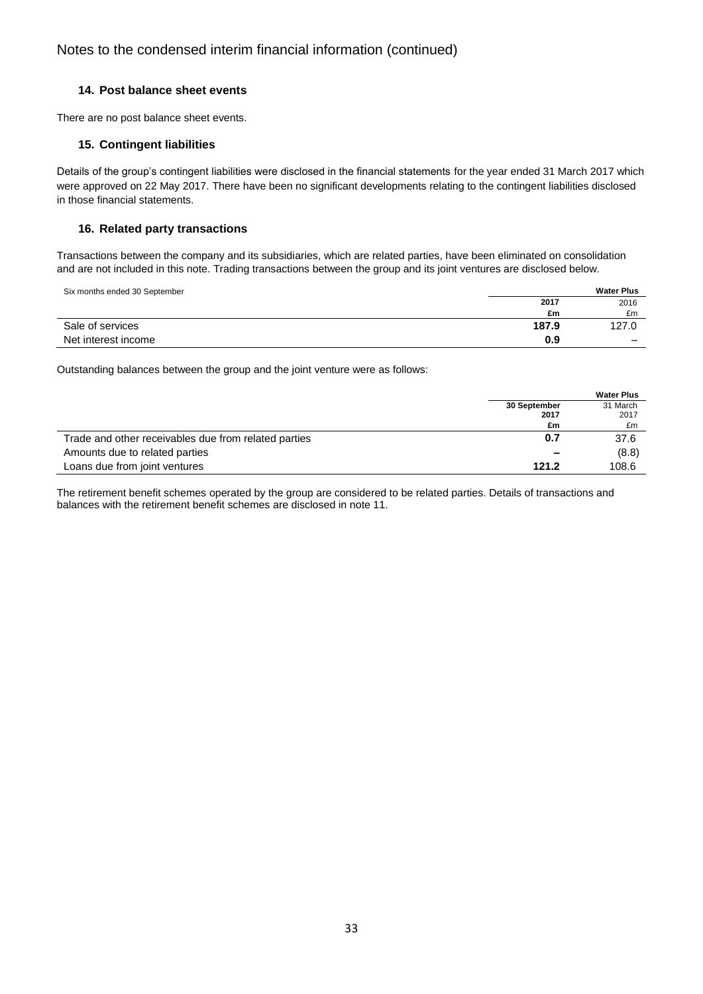### **14. Post balance sheet events**

There are no post balance sheet events.

### **15. Contingent liabilities**

Details of the group's contingent liabilities were disclosed in the financial statements for the year ended 31 March 2017 which were approved on 22 May 2017. There have been no significant developments relating to the contingent liabilities disclosed in those financial statements.

### **16. Related party transactions**

Transactions between the company and its subsidiaries, which are related parties, have been eliminated on consolidation and are not included in this note. Trading transactions between the group and its joint ventures are disclosed below.

| Six months ended 30 September |       | <b>Water Plus</b> |
|-------------------------------|-------|-------------------|
|                               | 2017  | 2016              |
|                               | £m    | £m                |
| Sale of services              | 187.9 | 127.0             |
| Net interest income           | 0.9   | -                 |

Outstanding balances between the group and the joint venture were as follows:

|                                                      |                          | <b>Water Plus</b> |
|------------------------------------------------------|--------------------------|-------------------|
|                                                      | 30 September             | 31 March          |
|                                                      | 2017                     | 2017              |
|                                                      | £m                       | £m                |
| Trade and other receivables due from related parties | 0.7                      | 37.6              |
| Amounts due to related parties                       | $\overline{\phantom{0}}$ | (8.8)             |
| Loans due from joint ventures                        | 121.2                    | 108.6             |

The retirement benefit schemes operated by the group are considered to be related parties. Details of transactions and balances with the retirement benefit schemes are disclosed in note 11.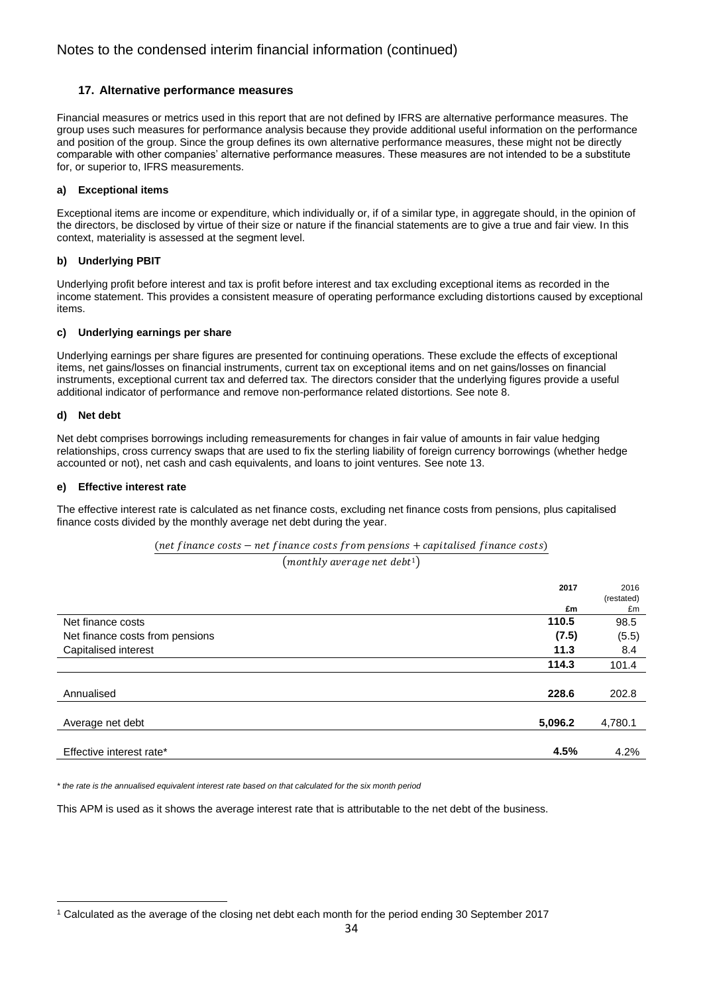#### **17. Alternative performance measures**

Financial measures or metrics used in this report that are not defined by IFRS are alternative performance measures. The group uses such measures for performance analysis because they provide additional useful information on the performance and position of the group. Since the group defines its own alternative performance measures, these might not be directly comparable with other companies' alternative performance measures. These measures are not intended to be a substitute for, or superior to, IFRS measurements.

#### **a) Exceptional items**

Exceptional items are income or expenditure, which individually or, if of a similar type, in aggregate should, in the opinion of the directors, be disclosed by virtue of their size or nature if the financial statements are to give a true and fair view. In this context, materiality is assessed at the segment level.

#### **b) Underlying PBIT**

Underlying profit before interest and tax is profit before interest and tax excluding exceptional items as recorded in the income statement. This provides a consistent measure of operating performance excluding distortions caused by exceptional items.

#### **c) Underlying earnings per share**

Underlying earnings per share figures are presented for continuing operations. These exclude the effects of exceptional items, net gains/losses on financial instruments, current tax on exceptional items and on net gains/losses on financial instruments, exceptional current tax and deferred tax. The directors consider that the underlying figures provide a useful additional indicator of performance and remove non-performance related distortions. See note 8.

#### **d) Net debt**

Net debt comprises borrowings including remeasurements for changes in fair value of amounts in fair value hedging relationships, cross currency swaps that are used to fix the sterling liability of foreign currency borrowings (whether hedge accounted or not), net cash and cash equivalents, and loans to joint ventures. See note 13.

#### **e) Effective interest rate**

The effective interest rate is calculated as net finance costs, excluding net finance costs from pensions, plus capitalised finance costs divided by the monthly average net debt during the year.

|  | (net finance costs $-$ net finance costs from pensions $+$ capitalised finance costs) |  |
|--|---------------------------------------------------------------------------------------|--|
|  |                                                                                       |  |

 $(monthly average net debt<sup>1</sup>)$ 

|                                 | 2017    | 2016       |
|---------------------------------|---------|------------|
|                                 |         | (restated) |
|                                 | £m      | £m         |
| Net finance costs               | 110.5   | 98.5       |
| Net finance costs from pensions | (7.5)   | (5.5)      |
| Capitalised interest            | 11.3    | 8.4        |
|                                 | 114.3   | 101.4      |
|                                 |         |            |
| Annualised                      | 228.6   | 202.8      |
|                                 |         |            |
| Average net debt                | 5,096.2 | 4,780.1    |
|                                 |         |            |
| Effective interest rate*        | 4.5%    | 4.2%       |

*\* the rate is the annualised equivalent interest rate based on that calculated for the six month period* 

This APM is used as it shows the average interest rate that is attributable to the net debt of the business.

 $\overline{a}$ <sup>1</sup> Calculated as the average of the closing net debt each month for the period ending 30 September 2017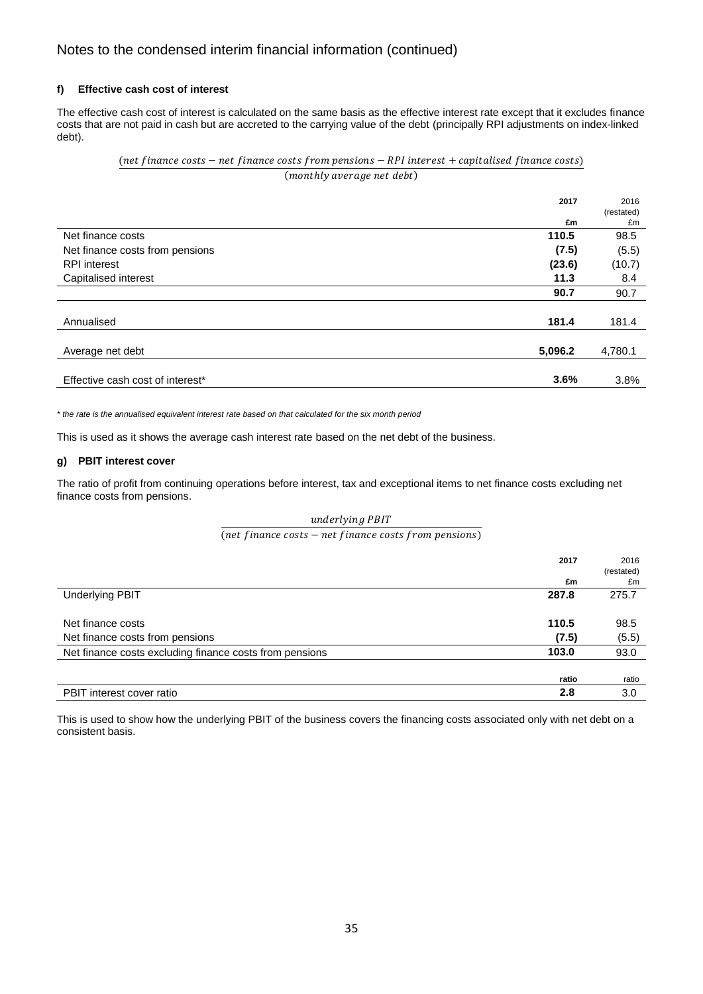# Notes to the condensed interim financial information (continued)

#### **f) Effective cash cost of interest**

The effective cash cost of interest is calculated on the same basis as the effective interest rate except that it excludes finance costs that are not paid in cash but are accreted to the carrying value of the debt (principally RPI adjustments on index-linked debt).

#### (net finance costs  $-$  net finance costs from pensions  $-$  RPI interest  $+$  capitalised finance costs) (monthly average net debt)

|                                  | 2017<br>£m | 2016<br>(restated)<br>£m |
|----------------------------------|------------|--------------------------|
| Net finance costs                | 110.5      | 98.5                     |
| Net finance costs from pensions  | (7.5)      | (5.5)                    |
| <b>RPI</b> interest              | (23.6)     | (10.7)                   |
| Capitalised interest             | 11.3       | 8.4                      |
|                                  | 90.7       | 90.7                     |
|                                  |            |                          |
| Annualised                       | 181.4      | 181.4                    |
|                                  |            |                          |
| Average net debt                 | 5,096.2    | 4,780.1                  |
|                                  |            |                          |
| Effective cash cost of interest* | 3.6%       | 3.8%                     |

*\* the rate is the annualised equivalent interest rate based on that calculated for the six month period* 

This is used as it shows the average cash interest rate based on the net debt of the business.

### **g) PBIT interest cover**

The ratio of profit from continuing operations before interest, tax and exceptional items to net finance costs excluding net finance costs from pensions.

| underlying PBIT                                         |
|---------------------------------------------------------|
| $(net finance costs - net finance costs from pensions)$ |

|                                                         | 2017  | 2016       |
|---------------------------------------------------------|-------|------------|
|                                                         |       | (restated) |
|                                                         | £m    | £m         |
| <b>Underlying PBIT</b>                                  | 287.8 | 275.7      |
| Net finance costs                                       | 110.5 | 98.5       |
| Net finance costs from pensions                         | (7.5) | (5.5)      |
| Net finance costs excluding finance costs from pensions | 103.0 | 93.0       |
|                                                         |       |            |
|                                                         | ratio | ratio      |
| PBIT interest cover ratio                               | 2.8   | 3.0        |

This is used to show how the underlying PBIT of the business covers the financing costs associated only with net debt on a consistent basis.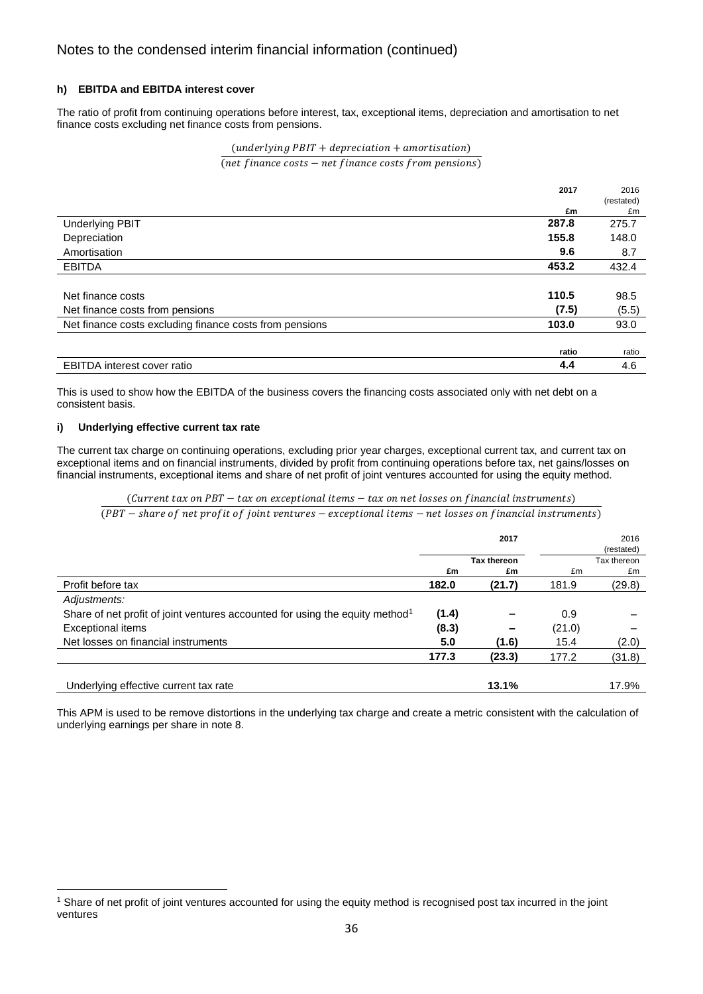#### **h) EBITDA and EBITDA interest cover**

The ratio of profit from continuing operations before interest, tax, exceptional items, depreciation and amortisation to net finance costs excluding net finance costs from pensions.

> $(underlying PBIT + depreciation + annotation)$  $\overline{(net \; finance \; costs - net \; finance \; costs \; from \; pensions)}$

|                                                         | 2017  | 2016       |
|---------------------------------------------------------|-------|------------|
|                                                         |       | (restated) |
|                                                         | £m    | £m         |
| <b>Underlying PBIT</b>                                  | 287.8 | 275.7      |
| Depreciation                                            | 155.8 | 148.0      |
| Amortisation                                            | 9.6   | 8.7        |
| <b>EBITDA</b>                                           | 453.2 | 432.4      |
|                                                         |       |            |
| Net finance costs                                       | 110.5 | 98.5       |
| Net finance costs from pensions                         | (7.5) | (5.5)      |
| Net finance costs excluding finance costs from pensions | 103.0 | 93.0       |
|                                                         |       |            |
|                                                         | ratio | ratio      |
| <b>EBITDA</b> interest cover ratio                      | 4.4   | 4.6        |

This is used to show how the EBITDA of the business covers the financing costs associated only with net debt on a consistent basis.

#### **i) Underlying effective current tax rate**

The current tax charge on continuing operations, excluding prior year charges, exceptional current tax, and current tax on exceptional items and on financial instruments, divided by profit from continuing operations before tax, net gains/losses on financial instruments, exceptional items and share of net profit of joint ventures accounted for using the equity method.

# $(Current tax on PBT - tax on exceptional items - tax on net losses on financial instruments)$

 $(PBT - share of net profit of joint centuries - exceptional items - net losses on financial instruments)$ 

|                                                                                          |       | 2017<br>Tax thereon |        | 2016<br>(restated)<br>Tax thereon |
|------------------------------------------------------------------------------------------|-------|---------------------|--------|-----------------------------------|
|                                                                                          | £m    | £m                  | £m     | £m                                |
| Profit before tax                                                                        | 182.0 | (21.7)              | 181.9  | (29.8)                            |
| Adjustments:                                                                             |       |                     |        |                                   |
| Share of net profit of joint ventures accounted for using the equity method <sup>1</sup> | (1.4) |                     | 0.9    |                                   |
| Exceptional items                                                                        | (8.3) |                     | (21.0) |                                   |
| Net losses on financial instruments                                                      | 5.0   | (1.6)               | 15.4   | (2.0)                             |
|                                                                                          | 177.3 | (23.3)              | 177.2  | (31.8)                            |
| Underlying effective current tax rate                                                    |       | 13.1%               |        | 17.9%                             |

This APM is used to be remove distortions in the underlying tax charge and create a metric consistent with the calculation of underlying earnings per share in note 8.

 $\overline{a}$ <sup>1</sup> Share of net profit of joint ventures accounted for using the equity method is recognised post tax incurred in the joint ventures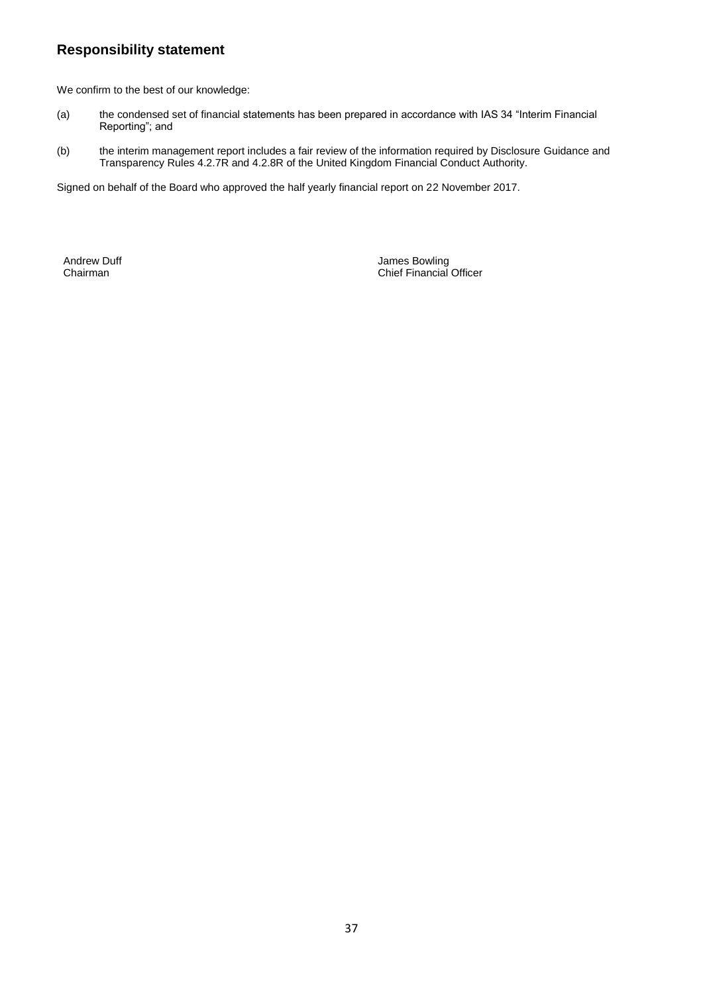# **Responsibility statement**

We confirm to the best of our knowledge:

- (a) the condensed set of financial statements has been prepared in accordance with IAS 34 "Interim Financial Reporting"; and
- (b) the interim management report includes a fair review of the information required by Disclosure Guidance and Transparency Rules 4.2.7R and 4.2.8R of the United Kingdom Financial Conduct Authority.

Signed on behalf of the Board who approved the half yearly financial report on 22 November 2017.

Andrew Duff **Andrew Duff** James Bowling<br>
Chairman **Chairman** Chief Financial Officer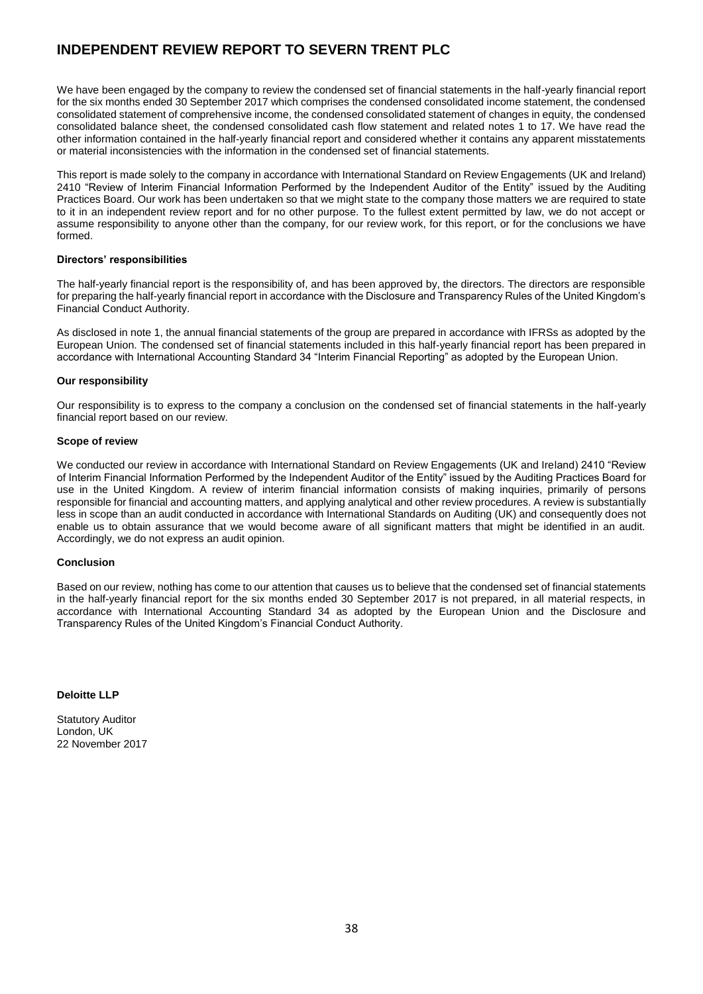# **INDEPENDENT REVIEW REPORT TO SEVERN TRENT PLC**

We have been engaged by the company to review the condensed set of financial statements in the half-yearly financial report for the six months ended 30 September 2017 which comprises the condensed consolidated income statement, the condensed consolidated statement of comprehensive income, the condensed consolidated statement of changes in equity, the condensed consolidated balance sheet, the condensed consolidated cash flow statement and related notes 1 to 17. We have read the other information contained in the half-yearly financial report and considered whether it contains any apparent misstatements or material inconsistencies with the information in the condensed set of financial statements.

This report is made solely to the company in accordance with International Standard on Review Engagements (UK and Ireland) 2410 "Review of Interim Financial Information Performed by the Independent Auditor of the Entity" issued by the Auditing Practices Board. Our work has been undertaken so that we might state to the company those matters we are required to state to it in an independent review report and for no other purpose. To the fullest extent permitted by law, we do not accept or assume responsibility to anyone other than the company, for our review work, for this report, or for the conclusions we have formed.

#### **Directors' responsibilities**

The half-yearly financial report is the responsibility of, and has been approved by, the directors. The directors are responsible for preparing the half-yearly financial report in accordance with the Disclosure and Transparency Rules of the United Kingdom's Financial Conduct Authority.

As disclosed in note 1, the annual financial statements of the group are prepared in accordance with IFRSs as adopted by the European Union. The condensed set of financial statements included in this half-yearly financial report has been prepared in accordance with International Accounting Standard 34 "Interim Financial Reporting" as adopted by the European Union.

#### **Our responsibility**

Our responsibility is to express to the company a conclusion on the condensed set of financial statements in the half-yearly financial report based on our review.

#### **Scope of review**

We conducted our review in accordance with International Standard on Review Engagements (UK and Ireland) 2410 "Review of Interim Financial Information Performed by the Independent Auditor of the Entity" issued by the Auditing Practices Board for use in the United Kingdom. A review of interim financial information consists of making inquiries, primarily of persons responsible for financial and accounting matters, and applying analytical and other review procedures. A review is substantially less in scope than an audit conducted in accordance with International Standards on Auditing (UK) and consequently does not enable us to obtain assurance that we would become aware of all significant matters that might be identified in an audit. Accordingly, we do not express an audit opinion.

#### **Conclusion**

Based on our review, nothing has come to our attention that causes us to believe that the condensed set of financial statements in the half-yearly financial report for the six months ended 30 September 2017 is not prepared, in all material respects, in accordance with International Accounting Standard 34 as adopted by the European Union and the Disclosure and Transparency Rules of the United Kingdom's Financial Conduct Authority.

#### **Deloitte LLP**

Statutory Auditor London, UK 22 November 2017